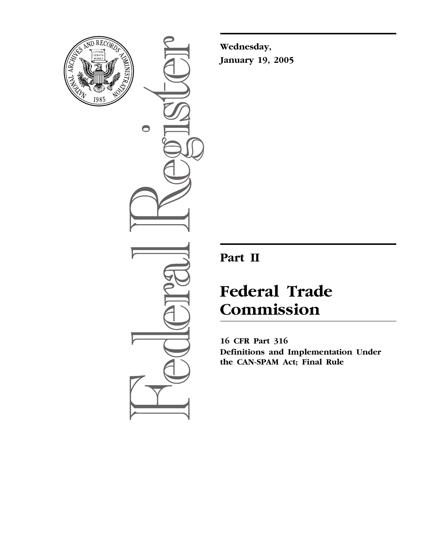

 $\bullet$ 

**Wednesday, January 19, 2005**

## **Part II**

# **Federal Trade Commission**

**16 CFR Part 316 Definitions and Implementation Under the CAN-SPAM Act; Final Rule**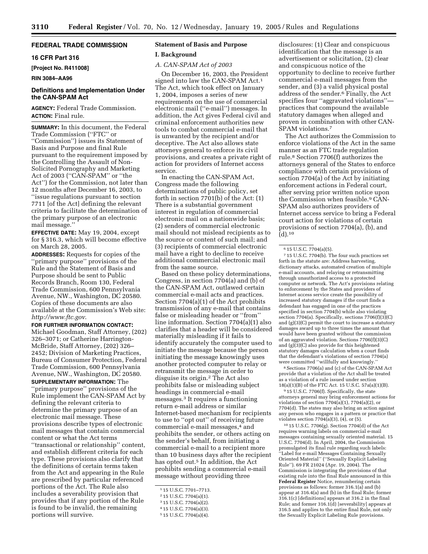#### **FEDERAL TRADE COMMISSION**

#### **16 CFR Part 316**

**[Project No. R411008]** 

**RIN 3084–AA96** 

#### **Definitions and Implementation Under the CAN-SPAM Act**

**AGENCY:** Federal Trade Commission. **ACTION:** Final rule.

**SUMMARY:** In this document, the Federal Trade Commission (''FTC'' or ''Commission'') issues its Statement of Basis and Purpose and final Rule pursuant to the requirement imposed by the Controlling the Assault of Non-Solicited Pornography and Marketing Act of 2003 (''CAN-SPAM'' or ''the Act'') for the Commission, not later than 12 months after December 16, 2003, to ''issue regulations pursuant to section 7711 [of the Act] defining the relevant criteria to facilitate the determination of the primary purpose of an electronic mail message.''

**EFFECTIVE DATE:** May 19, 2004, except for § 316.3, which will become effective on March 28, 2005.

**ADDRESSES:** Requests for copies of the ''primary purpose'' provisions of the Rule and the Statement of Basis and Purpose should be sent to Public Records Branch, Room 130, Federal Trade Commission, 600 Pennsylvania Avenue, NW., Washington, DC 20580. Copies of these documents are also available at the Commission's Web site: *http://www.ftc.gov*.

**FOR FURTHER INFORMATION CONTACT:** Michael Goodman, Staff Attorney, (202) 326–3071; or Catherine Harrington-McBride, Staff Attorney, (202) 326– 2452; Division of Marketing Practices, Bureau of Consumer Protection, Federal Trade Commission, 600 Pennsylvania Avenue, NW., Washington, DC 20580. **SUPPLEMENTARY INFORMATION:** The ''primary purpose'' provisions of the Rule implement the CAN-SPAM Act by defining the relevant criteria to determine the primary purpose of an electronic mail message. These provisions describe types of electronic mail messages that contain commercial content or what the Act terms ''transactional or relationship'' content, and establish different criteria for each type. These provisions also clarify that the definitions of certain terms taken from the Act and appearing in the Rule are prescribed by particular referenced portions of the Act. The Rule also includes a severability provision that provides that if any portion of the Rule is found to be invalid, the remaining

portions will survive.

### **Statement of Basis and Purpose**

#### **I. Background**

#### *A. CAN-SPAM Act of 2003*

On December 16, 2003, the President signed into law the CAN-SPAM Act.<sup>1</sup> The Act, which took effect on January 1, 2004, imposes a series of new requirements on the use of commercial electronic mail (''e-mail'') messages. In addition, the Act gives Federal civil and criminal enforcement authorities new tools to combat commercial e-mail that is unwanted by the recipient and/or deceptive. The Act also allows state attorneys general to enforce its civil provisions, and creates a private right of action for providers of Internet access service.

In enacting the CAN-SPAM Act, Congress made the following determinations of public policy, set forth in section 7701(b) of the Act: (1) There is a substantial government interest in regulation of commercial electronic mail on a nationwide basis; (2) senders of commercial electronic mail should not mislead recipients as to the source or content of such mail; and (3) recipients of commercial electronic mail have a right to decline to receive additional commercial electronic mail from the same source.

Based on these policy determinations, Congress, in section 7704(a) and (b) of the CAN-SPAM Act, outlawed certain commercial e-mail acts and practices. Section 7704(a)(1) of the Act prohibits transmission of any e-mail that contains false or misleading header or ''from'' line information. Section 7704(a)(1) also clarifies that a header will be considered materially misleading if it fails to identify accurately the computer used to initiate the message because the person initiating the message knowingly uses another protected computer to relay or retransmit the message in order to disguise its origin.2 The Act also prohibits false or misleading subject headings in commercial e-mail messages.3 It requires a functioning return e-mail address or similar Internet-based mechanism for recipients to use to ''opt out'' of receiving future commercial e-mail messages,<sup>4</sup> and prohibits the sender, or others acting on the sender's behalf, from initiating a commercial e-mail to a recipient more than 10 business days after the recipient has opted out.<sup>5</sup> In addition, the Act prohibits sending a commercial e-mail message without providing three

disclosures: (1) Clear and conspicuous identification that the message is an advertisement or solicitation, (2) clear and conspicuous notice of the opportunity to decline to receive further commercial e-mail messages from the sender, and (3) a valid physical postal address of the sender.6 Finally, the Act specifies four ''aggravated violations'' practices that compound the available statutory damages when alleged and proven in combination with other CAN-SPAM violations.7

The Act authorizes the Commission to enforce violations of the Act in the same manner as an FTC trade regulation rule.8 Section 7706(f) authorizes the attorneys general of the States to enforce compliance with certain provisions of section 7704(a) of the Act by initiating enforcement actions in Federal court, after serving prior written notice upon the Commission when feasible.9 CAN-SPAM also authorizes providers of Internet access service to bring a Federal court action for violations of certain provisions of section 7704(a), (b), and  $(d)$ .<sup>10</sup>

 $^7\,15$  U.S.C. 7704(b). The four such practices set forth in the statute are: Address harvesting, dictionary attacks, automated creation of multiple e-mail accounts, and relaying or retransmitting through unauthorized access to a protected computer or network. The Act's provisions relating to enforcement by the States and providers of Internet access service create the possibility of increased statutory damages if the court finds a defendant has engaged in one of the practices specified in section 7704(b) while also violating section 7704(a). Specifically, sections 7706(f)(3)(C) and (g)(3)(C) permit the court to increase a statutory damages award up to three times the amount that would have been granted without the commission of an aggravated violation. Sections 7706(f)(3)(C) and  $(g)(3)(C)$  also provide for this heightened statutory damages calculation when a court finds that the defendant's violations of section 7704(a) were committed "willfully and knowingly.

8Sections 7706(a) and (c) of the CAN-SPAM Act provide that a violation of the Act shall be treated as a violation of a rule issued under section 18(a)(1)(B) of the FTC Act. 15 U.S.C. 57a(a)(1)(B).

9 15 U.S.C. 7706(f). Specifically, the state attorneys general may bring enforcement actions for violations of section  $7704(a)(1)$ ,  $7704(a)(2)$ , or 7704(d). The states may also bring an action against any person who engages in a pattern or practice that violates section  $7704(a)(3)$ ,  $(4)$ , or  $(5)$ .

10 15 U.S.C. 7706(g). Section 7704(d) of the Act requires warning labels on commercial e-mail messages containing sexually oriented material. 15 U.S.C. 7704(d). In April, 2004, the Commission promulgated its final rule regarding such labels: ''Label for e-mail Messages Containing Sexually Oriented Material'' (''Sexually Explicit Labeling Rule''). 69 FR 21024 (Apr. 19, 2004). The Commission is integrating the provisions of that existing rule into the final Rule announced in this **Federal Register** Notice, renumbering certain provisions as follows: former 316.1(a) and (b) appear at 316.4(a) and (b) in the final Rule; former 316.1(c) [definitions] appears at 316.2 in the final Rule; and former 316.1(d) [severability] appears at 316.5 and applies to the entire final Rule, not only the Sexually Explicit Labeling Rule provisions.

<sup>1</sup> 15 U.S.C. 7701–7713.

<sup>2</sup> 15 U.S.C. 7704(a)(1).

<sup>3</sup> 15 U.S.C. 7704(a)(2).

<sup>4</sup> 15 U.S.C. 7704(a)(3).

<sup>5</sup> 15 U.S.C. 7704(a)(4).

<sup>6</sup> 15 U.S.C. 7704(a)(5).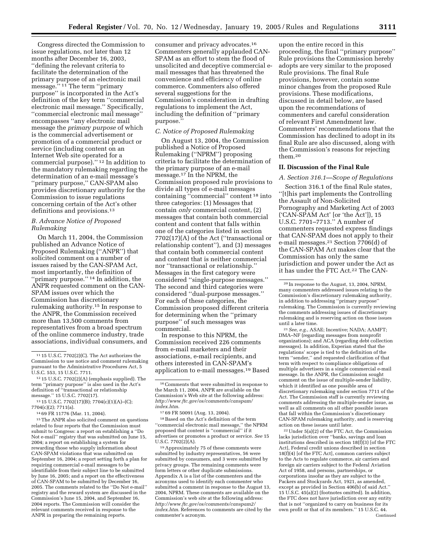Congress directed the Commission to issue regulations, not later than 12 months after December 16, 2003, ''defining the relevant criteria to facilitate the determination of the primary purpose of an electronic mail message."<sup>11</sup> The term "primary" purpose'' is incorporated in the Act's definition of the key term ''commercial electronic mail message.'' Specifically, ''commercial electronic mail message'' encompasses ''any electronic mail message the *primary purpose* of which is the commercial advertisement or promotion of a commercial product or service (including content on an Internet Web site operated for a commercial purpose).'' 12 In addition to the mandatory rulemaking regarding the determination of an e-mail message's ''primary purpose,'' CAN-SPAM also provides discretionary authority for the Commission to issue regulations concerning certain of the Act's other definitions and provisions.<sup>13</sup>

#### *B. Advance Notice of Proposed Rulemaking*

On March 11, 2004, the Commission published an Advance Notice of Proposed Rulemaking (''ANPR'') that solicited comment on a number of issues raised by the CAN-SPAM Act, most importantly, the definition of ''primary purpose.'' 14 In addition, the ANPR requested comment on the CAN-SPAM issues over which the Commission has discretionary rulemaking authority.15 In response to the ANPR, the Commission received more than 13,500 comments from representatives from a broad spectrum of the online commerce industry, trade associations, individual consumers, and

15The ANPR also solicited comment on questions related to four reports that the Commission must submit to Congress: a report on establishing a ''Do Not e-mail'' registry that was submitted on June 15, 2004; a report on establishing a system for rewarding those who supply information about CAN-SPAM violations that was submitted on September 16, 2004; a report setting forth a plan for requiring commercial e-mail messages to be identifiable from their subject line to be submitted by June 16, 2005; and a report on the effectiveness of CAN-SPAM to be submitted by December 16, 2005. The comments related to the ''Do Not e-mail'' registry and the reward system are discussed in the Commission's June 15, 2004, and September 16, 2004 reports. The Commission will consider the relevant comments received in response to the ANPR in preparing the remaining reports.

consumer and privacy advocates.16 Commenters generally applauded CAN-SPAM as an effort to stem the flood of unsolicited and deceptive commercial email messages that has threatened the convenience and efficiency of online commerce. Commenters also offered several suggestions for the Commission's consideration in drafting regulations to implement the Act, including the definition of ''primary purpose.''

#### *C. Notice of Proposed Rulemaking*

On August 13, 2004, the Commission published a Notice of Proposed Rulemaking (''NPRM'') proposing criteria to facilitate the determination of the primary purpose of an e-mail message.17 In the NPRM, the Commission proposed rule provisions to divide all types of e-mail messages containing ''commercial'' content 18 into three categories: (1) Messages that contain *only* commercial content, (2) messages that contain both commercial content and content that falls within one of the categories listed in section 7702(17)(A) of the Act (''transactional or relationship content''), and (3) messages that contain both commercial content and content that is neither commercial nor ''transactional or relationship.'' Messages in the first category were considered ''single-purpose messages.'' The second and third categories were considered ''dual-purpose messages.'' For each of these categories, the Commission proposed different criteria for determining when the ''primary purpose'' of such messages was commercial.

In response to this NPRM, the Commission received 226 comments from e-mail marketers and their associations, e-mail recipients, and others interested in CAN-SPAM's application to e-mail messages.19 Based

18Based on the Act's definition of the term ''commercial electronic mail message,'' the NPRM proposed that content is ''commercial'' if it advertises or promotes a product or service. *See* 15 U.S.C.  $7702(2)(A)$ .

19Approximately 75 of these comments were submitted by industry representatives, 56 were submitted by consumers, and 3 were submitted by privacy groups. The remaining comments were form letters or other duplicate submissions. Appendix A is a list of the commenters and the acronyms used to identify each commenter who submitted a comment in response to the August 13, 2004, NPRM. These comments are available on the Commission's web site at the following address: *http://www.ftc.gov/os/comments/canspam2/ index.htm*. References to comments are cited by the commenter's acronym.

upon the entire record in this proceeding, the final ''primary purpose'' Rule provisions the Commission hereby adopts are very similar to the proposed Rule provisions. The final Rule provisions, however, contain some minor changes from the proposed Rule provisions. These modifications, discussed in detail below, are based upon the recommendations of commenters and careful consideration of relevant First Amendment law. Commenters' recommendations that the Commission has declined to adopt in its final Rule are also discussed, along with the Commission's reasons for rejecting them.20

#### **II. Discussion of the Final Rule**

#### *A. Section 316.1—Scope of Regulations*

Section 316.1 of the final Rule states, ''[t]his part implements the Controlling the Assault of Non-Solicited Pornography and Marketing Act of 2003 ('CAN-SPAM Act' [or 'the Act']), 15 U.S.C. 7701–7713.'' A number of commenters requested express findings that CAN-SPAM does not apply to their e-mail messages.21 Section 7706(d) of the CAN-SPAM Act makes clear that the Commission has only the same jurisdiction and power under the Act as it has under the FTC Act.<sup>22</sup> The CAN-

21*See, e.g.*, ASAE; Incentive; NADA; AAMFT; DMA–NF (regarding messages from nonprofit organizations); and ACA (regarding debt collection messages). In addition, Experian stated that the regulations' scope is tied to the definition of the term ''sender,'' and requested clarification of that term with respect to compliance obligations of multiple advertisers in a single commercial e-mail message. In the ANPR, the Commission sought comment on the issue of multiple-sender liability, which it identified as one possible area of discretionary rulemaking under section 7711 of the Act. The Commission staff is currently reviewing comments addressing the multiple-sender issue, as well as all comments on all other possible issues that fall within the Commission's discretionary CAN-SPAM rulemaking authority, and is reserving action on these issues until later.

22Under 5(a)(2) of the FTC Act, the Commission lacks jurisdiction over ''banks, savings and loan institutions described in section  $18(f)(3)$  [of the FTC Act], Federal credit unions described in section 18(f)(4) [of the FTC Act], common carriers subject to the Acts to regulate commerce, air carriers and foreign air carriers subject to the Federal Aviation Act of 1958, and persons, partnerships, or corporations insofar as they are subject to the Packers and Stockyards Act, 1921, as amended, except as provided in Section 406(b) of said Act.'' 15 U.S.C. 45(a)(2) (footnotes omitted). In addition, the FTC does not have jurisdiction over any entity that is not ''organized to carry on business for its own profit or that of its members.'' 15 U.S.C. 44. Continued

<sup>11</sup> 15 U.S.C. 7702(2)(C). The Act authorizes the Commission to use notice and comment rulemaking pursuant to the Administrative Procedures Act, 5 U.S.C. 553, 15 U.S.C. 7711.

<sup>12</sup> 15 U.S.C. 7702(2)(A) (emphasis supplied). The term ''primary purpose'' is also used in the Act's definition of ''transactional or relationship message.'' 15 U.S.C. 7702(17).

<sup>13</sup> 15 U.S.C. 7702(17)(B); 7704(c)(1)(A)–(C); 7704(c)(2); 7711(a).

<sup>14</sup> 69 FR 11776 (Mar. 11, 2004).

<sup>16</sup>Comments that were submitted in response to the March 11, 2004, ANPR are available on the Commission's Web site at the following address: *http://www.ftc.gov/os/comments/canspam/ index.htm*.

<sup>17</sup> 69 FR 50091 (Aug. 13, 2004).

<sup>20</sup> In response to the August, 13, 2004, NPRM, many commenters addressed issues relating to the Commission's discretionary rulemaking authority, in addition to addressing ''primary purpose'' rulemaking. The Commission is currently reviewing the comments addressing issues of discretionary rulemaking and is reserving action on those issues until a later time.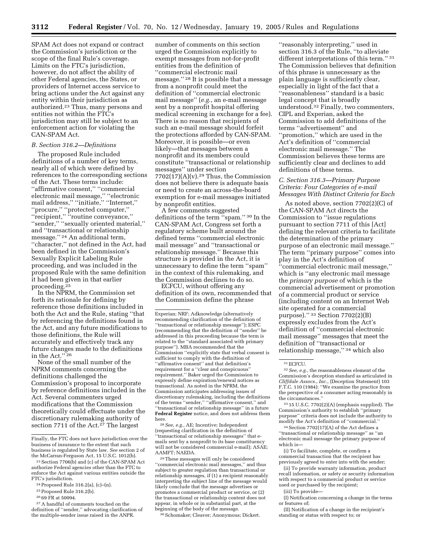SPAM Act does not expand or contract the Commission's jurisdiction or the scope of the final Rule's coverage. Limits on the FTC's jurisdiction, however, do not affect the ability of other Federal agencies, the States, or providers of Internet access service to bring actions under the Act against any entity within their jurisdiction as authorized.23 Thus, many persons and entities not within the FTC's jurisdiction may still be subject to an enforcement action for violating the CAN-SPAM Act.

#### *B. Section 316.2—Definitions*

The proposed Rule included definitions of a number of key terms, nearly all of which were defined by references to the corresponding sections of the Act. These terms include: ''affirmative consent,'' ''commercial electronic mail message,'' ''electronic mail address,'' ''initiate,'' ''Internet,'' ''procure,'' ''protected computer,'' ''recipient,'' ''routine conveyance,'' ''sender,'' ''sexually oriented material,'' and ''transactional or relationship message.'' 24 An additional term, ''character,'' not defined in the Act, had been defined in the Commission's Sexually Explicit Labeling Rule proceeding, and was included in the proposed Rule with the same definition it had been given in that earlier proceeding.<sup>25</sup>

In the NPRM, the Commission set forth its rationale for defining by reference those definitions included in both the Act and the Rule, stating ''that by referencing the definitions found in the Act, and any future modifications to those definitions, the Rule will accurately and effectively track any future changes made to the definitions in the Act.'' 26

None of the small number of the NPRM comments concerning the definitions challenged the Commission's proposal to incorporate by reference definitions included in the Act. Several commenters urged modifications that the Commission theoretically could effectuate under the discretionary rulemaking authority of section 7711 of the Act.<sup>27</sup> The largest

27A handful of comments touched on the definition of ''sender,'' advocating clarification of the multiple-sender issue raised in the ANPR.

number of comments on this section urged the Commission explicitly to exempt messages from not-for-profit entities from the definition of ''commercial electronic mail message.'' 28 It is possible that a message from a nonprofit could meet the definition of ''commercial electronic mail message'' (*e.g.*, an e-mail message sent by a nonprofit hospital offering medical screening in exchange for a fee). There is no reason that recipients of such an e-mail message should forfeit the protections afforded by CAN-SPAM. Moreover, it is possible—or even likely—that messages between a nonprofit and its members could constitute ''transactional or relationship messages'' under section  $7702(17)(A)(v).<sup>29</sup>$  Thus, the Commission does not believe there is adequate basis or need to create an across-the-board exemption for e-mail messages initiated by nonprofit entities.

A few comments suggested definitions of the term "spam." 30 In the CAN-SPAM Act, Congress set forth a regulatory scheme built around the defined terms ''commercial electronic mail message'' and ''transactional or relationship message.'' Because this structure is provided in the Act, it is unnecessary to define the term ''spam'' in the context of this rulemaking, and the Commission declines to do so.

ECFCU, without offering any definition of its own, recommended that the Commission define the phrase

Experian; NRF; Adknowledge (alternatively recommending clarification of the definition of ''transactional or relationship message''); ESPC (recommending that the definition of ''sender'' be addressed in this proceeding because the term is related to the ''standard associated with primary purpose''). MBA recommended that the Commission ''explicitly state that verbal consent is sufficient to comply with the definition of ''affirmative consent'' and that definition's requirement for a ''clear and conspicuous'' requirement.'' Baker urged the Commission to expressly define expiration/renewal notices as transactional. As noted in the NPRM, the Commission anticipates addressing issues of discretionary rulemaking, including the definitions of the terms ''sender,'' ''affirmative consent,'' and ''transactional or relationship message'' in a future **Federal Register** notice, and does not address them here.

28*See, e.g.*, AE; Incentive; Independent (requesting clarification in the definition of ''transactional or relationship messages'' that emails sent by a nonprofit to its base constituency will not be considered commercial e-mail); ASAE; AAMFT; NAEDA.

29These messages will only be considered ''commercial electronic mail messages,'' and thus subject to greater regulation than transactional or relationship messages, if (1) a recipient reasonably interpreting the subject line of the message would likely conclude that the message advertises or promotes a commercial product or service, or (2) the transactional or relationship content does not appear, in whole or in substantial part, at the beginning of the body of the message.

30Schomaker; Cleaver; Anonymous; Dickert.

''reasonably interpreting,'' used in section 316.3 of the Rule, ''to alleviate different interpretations of this term.'' 31 The Commission believes that definition of this phrase is unnecessary as the plain language is sufficiently clear, especially in light of the fact that a ''reasonableness'' standard is a basic legal concept that is broadly understood.32 Finally, two commenters, CIPL and Experian, asked the Commission to add definitions of the terms ''advertisement'' and ''promotion,'' which are used in the Act's definition of ''commercial electronic mail message.'' The Commission believes these terms are sufficiently clear and declines to add definitions of these terms.

#### *C. Section 316.3—Primary Purpose Criteria: Four Categories of e-mail Messages With Distinct Criteria for Each*

As noted above, section 7702(2)(C) of the CAN-SPAM Act directs the Commission to ''issue regulations pursuant to section 7711 of this [Act] defining the relevant criteria to facilitate the determination of the primary purpose of an electronic mail message.'' The term ''primary purpose'' comes into play in the Act's definition of ''commercial electronic mail message,'' which is ''any electronic mail message the *primary purpose* of which is the commercial advertisement or promotion of a commercial product or service (including content on an Internet Web site operated for a commercial purpose).'' 33 Section 7702(2)(B) expressly excludes from the Act's definition of ''commercial electronic mail message'' messages that meet the definition of ''transactional or relationship message,'' 34 which also

33 15 U.S.C. 7702(2)(A) (emphasis supplied). The Commission's authority to establish ''primary purpose'' criteria does not include the authority to modify the Act's definition of ''commercial.''

34Section 7702(17)(A) of the Act defines a ''transactional or relationship message'' as ''an electronic mail message the primary purpose of which is—

(i) To facilitate, complete, or confirm a commercial transaction that the recipient has previously agreed to enter into with the sender;

(ii) To provide warranty information, product recall information, or safety or security information with respect to a commercial product or service used or purchased by the recipient;

(iii) To provide—

(I) Notification concerning a change in the terms or features of;

(II) Notification of a change in the recipient's standing or status with respect to; or

Finally, the FTC does not have jurisdiction over the business of insurance to the extent that such business is regulated by State law. *See* section 2 of the McCarran-Ferguson Act, 15 U.S.C. 1012(b).

<sup>23</sup>Section 7706(b) and (c) of the CAN-SPAM Act authorize Federal agencies other than the FTC to enforce the Act against various entities outside the FTC's jurisdiction.

<sup>24</sup>Proposed Rule 316.2(a), (c)–(n).

<sup>&</sup>lt;sup>25</sup> Proposed Rule 316.2(b).

<sup>26</sup> 69 FR at 50094.

<sup>31</sup>ECFCU.

<sup>32</sup>*See, e.g.*, the reasonableness element of the Commission's deception standard as articulated in *Cliffdale Assocs., Inc.,* (Deception Statement) 103 F.T.C. 110 (1984): ''We examine the practice from the perspective of a consumer acting reasonably in the circumstances.''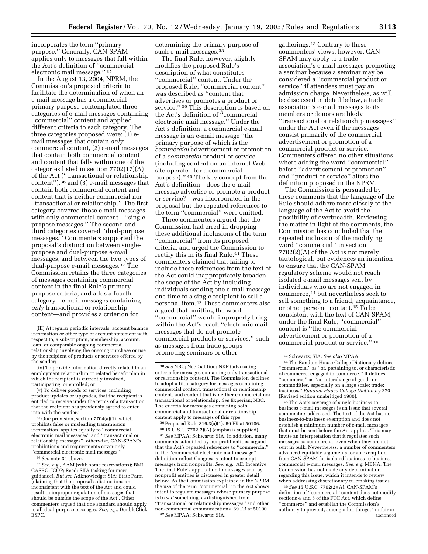incorporates the term ''primary purpose.'' Generally, CAN-SPAM applies only to messages that fall within the Act's definition of ''commercial electronic mail message.'' 35

In the August 13, 2004, NPRM, the Commission's proposed criteria to facilitate the determination of when an e-mail message has a commercial primary purpose contemplated three categories of e-mail messages containing ''commercial'' content and applied different criteria to each category. The three categories proposed were: (1) email messages that contain *only* commercial content, (2) e-mail messages that contain both commercial content and content that falls within one of the categories listed in section 7702(17)(A) of the Act (''transactional or relationship content''),36 and (3) e-mail messages that contain both commercial content and content that is neither commercial nor ''transactional or relationship.'' The first category covered those e-mail messages with only commercial content—"singlepurpose messages.'' The second and third categories covered ''dual-purpose messages.'' Commenters supported the proposal's distinction between singlepurpose and dual-purpose e-mail messages, and between the two types of dual-purpose e-mail messages.37 The Commission retains the three categories of messages containing commercial content in the final Rule's primary purpose criteria, and adds a fourth category—e-mail messages containing *only* transactional or relationship content—and provides a criterion for

(iv) To provide information directly related to an employment relationship or related benefit plan in which the recipient is currently involved, participating, or enrolled; or

(v) To deliver goods or services, including product updates or upgrades, that the recipient is entitled to receive under the terms of a transaction that the recipient has previously agreed to enter into with the sender.''

35One provision, section 7704(a)(1), which prohibits false or misleading transmission information, applies equally to ''commercial electronic mail messages'' and ''transactional or relationship messages''; otherwise, CAN-SPAM's prohibitions and requirements cover only ''commercial electronic mail messages.''

36*See* note 34 above.

37*See, e.g.*, AAM (with some reservations); BMI; CASRO; ICOP; Reed; SIIA (asking for more guidance). *But see* Adknowledge; SIA; State Farm (claiming that the proposal's distinctions are inconsistent with the text of the Act and could result in improper regulation of messages that should be outside the scope of the Act). Other commenters argued that one standard should apply to all dual-purpose messages. *See, e.g.*, DoubleClick; ESPC.

determining the primary purpose of such e-mail messages.<sup>38</sup>

The final Rule, however, slightly modifies the proposed Rule's description of what constitutes ''commercial'' content. Under the proposed Rule, ''commercial content'' was described as ''content that advertises or promotes a product or service."<sup>39</sup> This description is based on the Act's definition of ''commercial electronic mail message.'' Under the Act's definition, a commercial e-mail message is an e-mail message ''the primary purpose of which is the *commercial* advertisement or promotion of a *commercial* product or service (including content on an Internet Web site operated for a commercial purpose).'' 40 The key concept from the Act's definition—does the e-mail message advertise or promote a product or service?—was incorporated in the proposal but the repeated references to the term ''commercial'' were omitted.

Three commenters argued that the Commission had erred in dropping these additional inclusions of the term ''commercial'' from its proposed criteria, and urged the Commission to rectify this in its final Rule.<sup>41</sup> These commenters claimed that failing to include these references from the text of the Act could inappropriately broaden the scope of the Act by including individuals sending one e-mail message one time to a single recipient to sell a personal item.42 These commenters also argued that omitting the word ''commercial'' would improperly bring within the Act's reach ''electronic mail messages that do not promote commercial products or services,'' such as messages from trade groups promoting seminars or other

39Proposed Rule 316.3(a)(1). 69 FR at 50106.

40 15 U.S.C. 7702(2)(A) (emphasis supplied). 41*See* MPAA; Schwartz; SIA. In addition, many comments submitted by nonprofit entities argued that the Act's repeated references to ''commercial'' in the ''commercial electronic mail message'' definition reflect Congress's intent to exempt messages from nonprofits. *See, e.g.*, AE; Incentive. The final Rule's application to messages sent by nonprofit entities is discussed in greater detail below. As the Commission explained in the NPRM, the use of the term ''commercial'' in the Act shows intent to regulate messages whose primary purpose is to *sell* something, as distinguished from ''transactional or relationship messages'' and other non-commercial communications. 69 FR at 50100. 42*See* MPAA; Schwartz; SIA.

gatherings.43 Contrary to these commenters' views, however, CAN-SPAM may apply to a trade association's e-mail messages promoting a seminar because a seminar may be considered a ''commercial product or service'' if attendees must pay an admission charge. Nevertheless, as will be discussed in detail below, a trade association's e-mail messages to its members or donors are likely ''transactional or relationship messages'' under the Act even if the messages consist primarily of the commercial advertisement or promotion of a commercial product or service. Commenters offered no other situations where adding the word ''commercial'' before ''advertisement or promotion'' and ''product or service'' alters the definition proposed in the NPRM.

The Commission is persuaded by these comments that the language of the Rule should adhere more closely to the language of the Act to avoid the possibility of overbreadth. Reviewing the matter in light of the comments, the Commission has concluded that the repeated inclusion of the modifying word ''commercial'' in section 7702(2)(A) of the Act is not merely tautological, but evidences an intention to ensure that the CAN-SPAM regulatory scheme would not reach isolated e-mail messages sent by individuals who are not engaged in commerce,44 but nevertheless seek to sell something to a friend, acquaintance, or other personal contact.45 To be consistent with the text of CAN-SPAM, under the final Rule, ''commercial'' content is ''the commercial advertisement or promotion of a commercial product or service.'' 46

45The Act's coverage of single business-tobusiness e-mail messages is an issue that several commenters addressed. The text of the Act has no business-to-business exemption and does not establish a minimum number of e-mail messages that must be sent before the Act applies. This may invite an interpretation that it regulates such messages as commercial, even when they are not sent in bulk. Nevertheless, a number of commenters advanced equitable arguments for an exemption from CAN-SPAM for isolated business-to-business commercial e-mail messages. *See, e.g.* MBNA. The Commission has not made any determination regarding this issue, which it intends to review when addressing discretionary rulemaking issues.

46*See* 15 U.S.C. 7702(2)(A). CAN-SPAM's definition of ''commercial'' content does not modify sections 4 and 5 of the FTC Act, which define ''commerce'' and establish the Commission's authority to prevent, among other things, ''unfair or Continued

<sup>(</sup>III) At regular periodic intervals, account balance information or other type of account statement with respect to, a subscription, membership, account, loan, or comparable ongoing commercial relationship involving the ongoing purchase or use by the recipient of products or services offered by the sender;

<sup>38</sup>*See* NBC; NetCoalition; NRF (advocating criteria for messages containing only transactional or relationship content). The Commission declines to adopt a fifth category for messages containing commercial content, transactional or relationship content, and content that is neither commercial nor transactional or relationship. *See* Experian; NBC. The criteria for messages containing both commercial and transactional or relationship content apply to messages of this type.

<sup>43</sup>Schwartz; SIA. *See also* MPAA.

<sup>44</sup>The Random House College Dictionary defines ''commercial'' as ''of, pertaining to, or characteristic of commerce; engaged in commerce.'' It defines ''commerce'' as ''an interchange of goods or commodities, especially on a large scale; trade; business.'' *Random House College Dictionary* 270 (Revised edition unabridged 1980).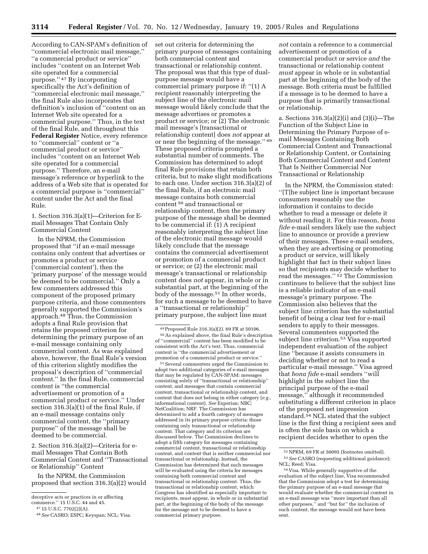According to CAN-SPAM's definition of ''commercial electronic mail message,'' ''a commercial product or service'' includes ''content on an Internet Web site operated for a commercial purpose.'' 47 By incorporating specifically the Act's definition of ''commercial electronic mail message,'' the final Rule also incorporates that definition's inclusion of ''content on an Internet Web site operated for a commercial purpose.'' Thus, in the text of the final Rule, and throughout this **Federal Register** Notice, every reference to ''commercial'' content or ''a commercial product or service'' includes ''content on an Internet Web site operated for a commercial purpose.'' Therefore, an e-mail message's reference or hyperlink to the address of a Web site that is operated for a commercial purpose is ''commercial'' content under the Act and the final Rule.

1. Section 316.3(a)(1)—Criterion for Email Messages That Contain Only Commercial Content

In the NPRM, the Commission proposed that ''if an e-mail message contains only content that advertises or promotes a product or service ('commercial content'), then the 'primary purpose' of the message would be deemed to be commercial.'' Only a few commenters addressed this component of the proposed primary purpose criteria, and those commenters generally supported the Commission's approach.48 Thus, the Commission adopts a final Rule provision that retains the proposed criterion for determining the primary purpose of an e-mail message containing only commercial content. As was explained above, however, the final Rule's version of this criterion slightly modifies the proposal's description of ''commercial content.'' In the final Rule, commercial content is ''the commercial advertisement or promotion of a commercial product or service.'' Under section 316.3(a)(1) of the final Rule, if an e-mail message contains only commercial content, the ''primary purpose'' of the message shall be deemed to be commercial.

2. Section 316.3(a)(2)—Criteria for email Messages That Contain Both Commercial Content and ''Transactional or Relationship'' Content

In the NPRM, the Commission proposed that section 316.3(a)(2) would set out criteria for determining the primary purpose of messages containing both commercial content and transactional or relationship content. The proposal was that this type of dualpurpose message would have a commercial primary purpose if: ''(1) A recipient reasonably interpreting the subject line of the electronic mail message would likely conclude that the message advertises or promotes a product or service; or (2) The electronic mail message's [transactional or relationship content] does *not* appear at or near the beginning of the message.'' 49 These proposed criteria prompted a substantial number of comments. The Commission has determined to adopt final Rule provisions that retain both criteria, but to make slight modifications to each one. Under section 316.3(a)(2) of the final Rule, if an electronic mail message contains both commercial content 50 and transactional or relationship content, then the primary purpose of the message shall be deemed to be commercial if: (1) A recipient reasonably interpreting the subject line of the electronic mail message would likely conclude that the message contains the commercial advertisement or promotion of a commercial product or service; or (2) the electronic mail message's transactional or relationship content does *not* appear, in whole or in substantial part, at the beginning of the body of the message.51 In other words, for such a message to be deemed to have a ''transactional or relationship'' primary purpose, the subject line must

51Several commenters urged the Commission to adopt two additional categories of e-mail messages that may be regulated by CAN-SPAM: messages consisting solely of ''transactional or relationship'' content, and messages that contain commercial content, transactional or relationship content, and content that does not belong in either category (*e.g.*, informational content). *See* Experian; NBC; NetCoalition; NRF. The Commission has determined to add a fourth category of messages addressed in its primary purpose criteria: those containing only transactional or relationship content. That category and its criterion are discussed below. The Commission declines to adopt a fifth category for messages containing commercial content, transactional or relationship content, and content that is neither commercial nor transactional or relationship. Instead, the Commission has determined that such messages will be evaluated using the criteria for messages containing both commercial content and transactional or relationship content. Thus, the transactional or relationship content, which Congress has identified as especially important to recipients, must appear, in whole or in substantial part, at the beginning of the body of the message for the message not to be deemed to have a commercial primary purpose.

*not* contain a reference to a commercial advertisement or promotion of a commercial product or service *and* the transactional or relationship content *must* appear in whole or in substantial part at the beginning of the body of the message. Both criteria must be fulfilled if a message is to be deemed to have a purpose that is primarily transactional or relationship.

a. Sections 316.3(a)(2)(i) and (3)(i)—The Function of the Subject Line in Determining the Primary Purpose of email Messages Containing Both Commercial Content and Transactional or Relationship Content, or Containing Both Commercial Content and Content That Is Neither Commercial Nor Transactional or Relationship

In the NPRM, the Commission stated: ''[T]he subject line is important because consumers reasonably use the information it contains to decide whether to read a message or delete it without reading it. For this reason, *bona fide* e-mail senders likely use the subject line to announce or provide a preview of their messages. These e-mail senders, when they are advertising or promoting a product or service, will likely highlight that fact in their subject lines so that recipients may decide whether to read the messages.'' 52 The Commission continues to believe that the subject line is a reliable indicator of an e-mail message's primary purpose. The Commission also believes that the subject line criterion has the substantial benefit of being a clear test for e-mail senders to apply to their messages. Several commenters supported the subject line criterion.53 Visa supported independent evaluation of the subject line ''because it assists consumers in deciding whether or not to read a particular e-mail message.'' Visa agreed that *bona fide* e-mail senders ''will highlight in the subject line the principal purpose of the e-mail message,'' although it recommended substituting a different criterion in place of the proposed net impression standard.<sup>54</sup> NCL stated that the subject line is the first thing a recipient sees and is often the sole basis on which a recipient decides whether to open the

deceptive acts or practices in or affecting

commerce.'' 15 U.S.C. 44 and 45.

<sup>47</sup> 15 U.S.C. 7702(2)(A).

<sup>48</sup>*See* CASRO; ESPC; Keyspan; NCL; Visa.

<sup>49</sup>Proposed Rule 316.3(a)(2). 69 FR at 50106. 50As explained above, the final Rule's description of ''commercial'' content has been modified to be consistent with the Act's text. Thus, commercial content is ''the commercial advertisement or promotion of a commercial product or service.''

<sup>52</sup>NPRM, 69 FR at 50095 (footnotes omitted). 53*See* CASRO (requesting additional guidance); NCL; Reed; Visa.

<sup>54</sup> Visa. While generally supportive of the evaluation of the subject line, Visa recommended that the Commission adopt a test for determining the primary purpose of an e-mail message that would evaluate whether the commercial content in an e-mail message was ''more important than all other purposes,'' and ''but for'' the inclusion of such content, the message would not have been sent.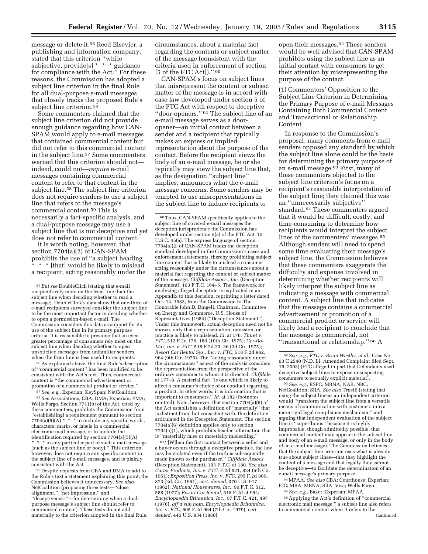message or delete it.55 Reed Elsevier, a publishing and information company, stated that this criterion ''while subjective, provide<sup>[s] \*</sup> \* \* guidance for compliance with the Act.'' For these reasons, the Commission has adopted a subject line criterion in the final Rule for all dual-purpose e-mail messages that closely tracks the proposed Rule's subject line criterion.<sup>56</sup>

Some commenters claimed that the subject line criterion did not provide enough guidance regarding how CAN-SPAM would apply to e-mail messages that contained commercial content but did not refer to this commercial content in the subject line.57 Some commenters warned that this criterion should not indeed, could not—*require* e-mail messages containing commercial content to refer to that content in the subject line.<sup>58</sup> The subject line criterion does not require senders to use a subject line that refers to the message's commercial content.59 This is necessarily a fact-specific analysis, and a dual-purpose message may use a subject line that is not deceptive and yet does not refer to commercial content.

It is worth noting, however, that section 7704(a)(2) of CAN-SPAM prohibits the use of ''a subject heading \* \* [that] would be likely to mislead a recipient, acting reasonably under the

56As explained above, the final Rule's description of ''commercial content'' has been modified to be consistent with the Act's text. Thus, commercial content is ''the commercial advertisement or promotion of a commercial product or service.''

57*See, e.g.*, Experian; KeySpan; NetCoalition. 58*See* Associations; CBA; DMA; Experian; PMA; Wells Fargo. Section 7711(b) of the Act, cited by these commenters, prohibits the Commission from ''establish[ing] a requirement pursuant to section  $7704(a)(5)(A)$ <sup>\*</sup> \* \* to include any specific words, characters, marks, or labels in a commercial electronic mail message, or to include the identification required by section 7704(a)(5)(A) \* \* \* in any particular part of such a mail message (such as the subject line or body).'' This criterion, however, does not require any specific content in the subject line of e-mail messages, and is plainly consistent with the Act.

59 Despite requests from CBA and DMA to add to the Rule's text a statement explaining this point, the Commission believes it unnecessary. *See also* NetCoalition (proposing three testsalignment,'' ''net impression,'' and ''deceptiveness''—for determining when a dualpurpose message's subject line should refer to commercial content). These tests do not add materially to the criterion adopted in the final Rule.

circumstances, about a material fact regarding the contents or subject matter of the message (consistent with the criteria used in enforcement of section [5 of the FTC Act])." 60

CAN-SPAM's focus on subject lines that misrepresent the content or subject matter of the message is in accord with case law developed under section 5 of the FTC Act with respect to deceptive ''door-openers.'' 61 The subject line of an e-mail message serves as a dooropener—an initial contact between a sender and a recipient that typically makes an express or implied representation about the purpose of the contact. Before the recipient views the body of an e-mail message, he or she typically may view the subject line that, as the designation ''subject line'' implies, announces what the e-mail message concerns. Some senders may be tempted to use misrepresentations in the subject line to induce recipients to

60Thus, CAN-SPAM specifically applies to the subject line of covered e-mail messages the deception jurisprudence the Commission has developed under section 5(a) of the FTC Act. 15 U.S.C. 45(a). The express language of section 7704(a)(2) of CAN-SPAM tracks the deception standard developed in the Commission's cases and enforcement statements, thereby prohibiting subject line content that is likely to mislead a consumer acting reasonably under the circumstances about a material fact regarding the content or subject matter of the message. *Cliffdale Assocs., Inc.* (Deception Statement), 103 F.T.C. 164–5. The framework for analyzing alleged deception is explicated in an Appendix to this decision, reprinting a letter dated Oct. 14, 1983, from the Commission to The Honorable John D. Dingell, Chairman, Committee on Energy and Commerce, U.S. House of Representatives (1984) (''Deception Statement''). Under this framework, actual deception need not be shown, only that a representation, omission, or practice is likely to mislead. *Id.* at 176. *Thiret* v. *FTC,* 512 F.2d 176, 180 (10th Cir. 1975); *Ger-Ro-Mar, Inc.* v. *FTC,* 518 F.2d 33, 36 (2d Cir. 1975); *Resort Car Rental Sys., Inc.* v. *FTC,* 518 F.2d 962, 964 (9th Cir. 1975). The ''acting reasonably under the circumstances'' aspect of the analysis considers the representation from the perspective of the ordinary consumer to whom it is directed. *Cliffdale* at 177–8. A material fact ''is one which is likely to affect a consumer's choice of or conduct regarding a product. In other words, it is information that is important to consumers.'' *Id.* at 182 (footnotes omitted). Note, however, that section 7704(a)(6) of the Act establishes a definition of ''materially'' that is distinct from, but consistent with, the definition articulated in the Deception Statement. The section 7704(a)(6) definition applies only to section 7704(a)(1), which prohibits header information that is ''materially false or materially misleading.''

 $^{61\,\textrm{''}}$  [W]<br>hen the first contact between a seller and a buyer occurs through a deceptive practice, the law may be violated even if the truth is subsequently made known to the purchaser.'' *Cliffdale Assocs.* (Deception Statement), 103 F.T.C. at 180. *See also Carter Products, Inc.* v. *FTC,* F.2d 821, 824 (5th Cir. 1951); *Exposition Press, Inc.* v. *FTC,* 295 F.2d 869, 873 (2d. Cir. 1961), *cert. denied,* 370 U.S. 917 (1962); *National Housewares, Inc.,* 90 F.T.C. 512, 588 (1977); *Resort Car Rental,* 518 F.2d at 964; *Encyclopaedia Britannica, Inc.,* 87 F.T.C. 421, 497 (1976), *aff'd sub nom. Encyclopaedia Britannica, Inc.* v. *FTC,* 605 F.2d 964 (7th Cir. 1979), *cert. denied*, 445 U.S. 934 (1980).

open their messages.62 These senders would be well advised that CAN-SPAM prohibits using the subject line as an initial contact with consumers to get their attention by misrepresenting the purpose of the contact.

(1) Commenters' Opposition to the Subject Line Criterion in Determining the Primary Purpose of e-mail Messages Containing Both Commercial Content and Transactional or Relationship Content

In response to the Commission's proposal, many comments from e-mail senders opposed any standard by which the subject line alone could be the basis for determining the primary purpose of an e-mail message.63 First, many of these commenters objected to the subject line criterion's focus on a recipient's reasonable interpretation of the subject line; they claimed this was an ''unnecessarily subjective'' standard.64 These commenters argued that it would be difficult, costly, and time-consuming to determine how recipients would interpret the subject lines of the commenters' messages.<sup>65</sup> Although senders will need to spend some time evaluating their message's subject line, the Commission believes that these commenters exaggerate the difficulty and expense involved in determining whether recipients will likely interpret the subject line as indicating a message with commercial content. A subject line that indicates that the message contains a commercial advertisement or promotion of a commercial product or service will likely lead a recipient to conclude that the message is commercial, not ''transactional or relationship.'' 66 A

63*See, e.g.*, ESPC; MBNA; NAR; NBC; NetCoalition; SIIA. *See also* TrustE (stating that using the subject line as an independent criterion would ''transform the subject line from a versatile means of communication with customers into a mere rigid legal compliance mechanism,'' and arguing that independent evaluation of the subject line is ''superfluous'' because it is highly improbable, though admittedly possible, that commercial content may appear in the subject line and body of an e-mail message, or only in the body of an e-mail message). The Commission believes that the subject line criterion uses what is already true about subject lines—that they highlight the content of a message and that legally they cannot be deceptive—to facilitate the determination of an e-mail message's primary purpose.

64MPAA. *See also* CBA; Courthouse; Experian; ICC; MBA; MBNA; SIIA; Visa; Wells Fargo. 65*See, e.g.*, Baker; Experian; MPAA.

66Applying the Act's definition of ''commercial electronic mail message,'' a subject line also refers to commercial content when it refers to the Continued

<sup>55</sup>*But see* DoubleClick (stating that e-mail recipients rely more on the from line than the subject line when deciding whether to read a message). DoubleClick's data show that one-third of e-mail recipients surveyed consider the subject line to be the most important factor in deciding whether to open a permission-based e-mail. The Commission considers this data as support for its use of the subject line in its primary purpose criteria. It is reasonable to presume that an even greater percentage of consumers rely most on the subject line when deciding whether to open unsolicited messages from unfamiliar senders, when the from line is less useful to recipients.

<sup>62</sup>*See, e.g., FTC* v. *Brian Westby, et al.*, Case No. 03 C 2540 (N.D. Ill. Amended Complaint filed Sept. 16, 2003) (FTC alleged in part that Defendants used deceptive subject lines to expose unsuspecting consumers to sexually explicit material).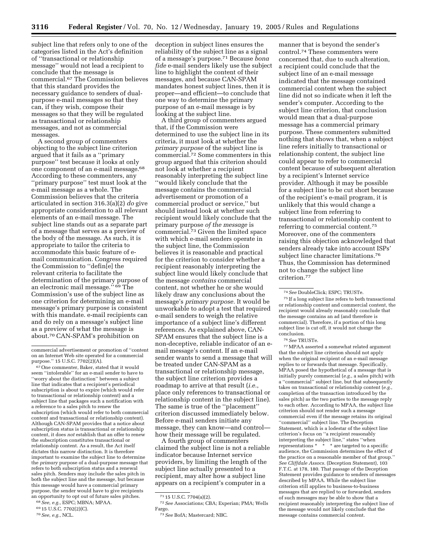subject line that refers only to one of the categories listed in the Act's definition of ''transactional or relationship message'' would not lead a recipient to conclude that the message is commercial.67 The Commission believes that this standard provides the necessary guidance to senders of dualpurpose e-mail messages so that they can, if they wish, compose their messages so that they will be regulated as transactional or relationship messages, and not as commercial messages.

A second group of commenters objecting to the subject line criterion argued that it fails as a ''primary purpose'' test because it looks at only one component of an e-mail message.68 According to these commenters, any ''primary purpose'' test must look at the e-mail message as a whole. The Commission believes that the criteria articulated in section 316.3(a)(2) *do* give appropriate consideration to all relevant elements of an e-mail message. The subject line stands out as a separate part of a message that serves as a preview of the body of the message. As such, it is appropriate to tailor the criteria to accommodate this basic feature of email communication. Congress required the Commission to ''defin[e] the relevant criteria to facilitate the determination of the primary purpose of an electronic mail message.'' 69 The Commission's use of the subject line as one criterion for determining an e-mail message's primary purpose is consistent with this mandate. e-mail recipients can and do rely on a message's subject line as a preview of what the message is about.70 CAN-SPAM's prohibition on

67One commenter, Baker, stated that it would seem ''intolerable'' for an e-mail sender to have to ''worry about the distinction'' between a subject line that indicates that a recipient's periodical subscription is about to expire (which would refer to transactional or relationship content) and a subject line that packages such a notification with a reference to a sales pitch to renew the subscription (which would refer to both commercial content and transactional or relationship content). Although CAN-SPAM provides that a notice about subscription status is transactional or relationship content, it does *not* establish that an offer to renew the subscription constitutes transactional or relationship content. As a result, the Act itself dictates this narrow distinction. It is therefore important to examine the subject line to determine the *primary* purpose of a dual-purpose message that refers to both subscription status and a renewal sales pitch. Senders may include the sales pitch in both the subject line and the message, but because this message would have a commercial primary purpose, the sender would have to give recipients an opportunity to opt out of future sales pitches.

deception in subject lines ensures the reliability of the subject line as a signal of a message's purpose.71 Because *bona fide* e-mail senders likely use the subject line to highlight the content of their messages, and because CAN-SPAM mandates honest subject lines, then it is proper—and efficient—to conclude that one way to determine the primary purpose of an e-mail message is by looking at the subject line.

A third group of commenters argued that, if the Commission were determined to use the subject line in its criteria, it must look at whether the *primary purpose* of the subject line is commercial.72 Some commenters in this group argued that this criterion should not look at whether a recipient reasonably interpreting the subject line ''would likely conclude that the message contains the commercial advertisement or promotion of a commercial product or service,'' but should instead look at whether such recipient would likely conclude that the primary purpose *of the message* is commercial.73 Given the limited space with which e-mail senders operate in the subject line, the Commission believes it is reasonable and practical for the criterion to consider whether a recipient reasonably interpreting the subject line would likely conclude that the message *contains* commercial content, not whether he or she would likely draw any conclusions about the message's *primary purpose.* It would be unworkable to adopt a test that required e-mail senders to weigh the relative importance of a subject line's different references. As explained above, CAN-SPAM ensures that the subject line is a non-deceptive, reliable indicator of an email message's content. If an e-mail sender wants to send a message that will be treated under CAN-SPAM as a transactional or relationship message, the subject line criterion provides a roadmap to arrive at that result (*i.e.*, place only references to transactional or relationship content in the subject line). The same is true of the ''placement'' criterion discussed immediately below. Before e-mail senders initiate any message, they can know—and control how their message will be regulated.

A fourth group of commenters claimed the subject line is not a reliable indicator because Internet service providers, by limiting the length of the subject line actually presented to a recipient, may alter how a subject line appears on a recipient's computer in a

manner that is beyond the sender's control.74 These commenters were concerned that, due to such alteration, a recipient could conclude that the subject line of an e-mail message indicated that the message contained commercial content when the subject line did not so indicate when it left the sender's computer. According to the subject line criterion, that conclusion would mean that a dual-purpose message has a commercial primary purpose. These commenters submitted nothing that shows that, when a subject line refers initially to transactional or relationship content, the subject line could appear to refer to commercial content because of subsequent alteration by a recipient's Internet service provider. Although it may be possible for a subject line to be cut short because of the recipient's e-mail program, it is unlikely that this would change a subject line from referring to transactional or relationship content to referring to commercial content.75 Moreover, one of the commenters raising this objection acknowledged that senders already take into account ISPs' subject line character limitations.76 Thus, the Commission has determined not to change the subject line criterion.77

75 If a long subject line refers to both transactional or relationship content and commercial content, the recipient would already reasonably conclude that the message contains an ad (and therefore is commercial). Therefore, if a portion of this long subject line is cut off, it would not change the conclusion.

77MPAA asserted a somewhat related argument that the subject line criterion should not apply when the original recipient of an e-mail message replies to or forwards that message. Specifically, MPAA posed the hypothetical of a message that is initially purely commercial (*e.g.*, a sales pitch) with a ''commercial'' subject line, but that subsequently takes on transactional or relationship content (*e.g.*, completion of the transaction introduced by the sales pitch) as the two parties to the message reply to each other. According to MPAA, the subject line criterion should not render such a message commercial even if the message retains its original ''commercial'' subject line. The Deception Statement, which is a lodestar of the subject line criterion's focus on ''a recipient reasonably interpreting the subject line,'' states ''when representations \* \* \* are targeted to a specific audience, the Commission determines the effect of the practice on a reasonable member of that group. *See Cliffdale Assocs.* (Deception Statement), 103 F.T.C. at 178, 180. That passage of the Deception Statement provides guidance to senders of messages described by MPAA. While the subject line criterion still applies to business-to-business messages that are replied to or forwarded, senders of such messages may be able to show that a recipient reasonably interpreting the subject line of the message would not likely conclude that the message contains commercial content.

commercial advertisement or promotion of ''content on an Internet Web site operated for a commercial purpose.'' 15 U.S.C. 7702(2)(A).

<sup>68</sup>*See, e.g.*, ESPC; MBNA; MPAA.

<sup>69</sup> 15 U.S.C. 7702(2)(C).

<sup>70</sup>*See, e.g.*, NCL.

<sup>71</sup> 15 U.S.C. 7704(a)(2).

<sup>72</sup>*See* Associations; CBA; Experian; PMA; Wells Fargo.

<sup>73</sup>*See* BofA; Mastercard; NBC.

<sup>74</sup>*See* DoubleClick; ESPC; TRUSTe.

<sup>76</sup>*See* TRUSTe.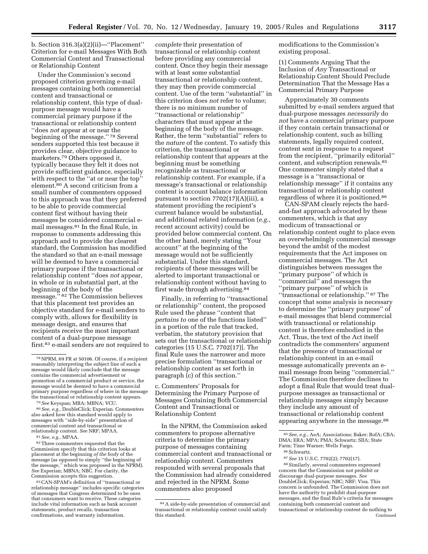b. Section 316.3(a)(2)(ii)—''Placement'' Criterion for e-mail Messages With Both Commercial Content and Transactional or Relationship Content

Under the Commission's second proposed criterion governing e-mail messages containing both commercial content and transactional or relationship content, this type of dualpurpose message would have a commercial primary purpose if the transactional or relationship content ''does *not* appear at or near the beginning of the message.'' 78 Several senders supported this test because it provides clear, objective guidance to marketers.79 Others opposed it, typically because they felt it does not provide sufficient guidance, especially with respect to the ''at or near the top'' element.80 A second criticism from a small number of commenters opposed to this approach was that they preferred to be able to provide commercial content first without having their messages be considered commercial email messages.81 In the final Rule, in response to comments addressing this approach and to provide the clearest standard, the Commission has modified the standard so that an e-mail message will be deemed to have a commercial primary purpose if the transactional or relationship content ''does *not* appear, in whole or in substantial part, at the beginning of the body of the message.'' 82 The Commission believes that this placement test provides an objective standard for e-mail senders to comply with, allows for flexibility in message design, and ensures that recipients receive the most important content of a dual-purpose message first.83 e-mail senders are not required to

79*See* Keyspan; MBA; MBNA; VCU.

80*See, e.g.*, DoubleClick; Experian. Commenters also asked how this standard would apply to messages with ''side-by-side'' presentation of commercial content and transactional or relationship content. *See* NRF; MPAA.

81*See, e.g.*, MPAA.

82Three commenters requested that the Commission specify that this criterion looks at placement at the beginning *of the body* of the message (as opposed to simply ''the beginning of the message,'' which was proposed in the NPRM). *See* Experian; MBNA; NBC. For clarity, the Commission accepts this suggestion.

83CAN-SPAM's definition of ''transactional or relationship message'' includes specific categories of messages that Congress determined to be ones that consumers want to receive. These categories include vital information such as bank account statements, product recalls, transaction confirmations, and warranty information.

*complete* their presentation of transactional or relationship content before providing any commercial content. Once they begin their message with at least some substantial transactional or relationship content, they may then provide commercial content. Use of the term ''substantial'' in this criterion does *not* refer to volume; there is no minimum number of ''transactional or relationship'' characters that must appear at the beginning of the body of the message. Rather, the term ''substantial'' refers to the *nature* of the content. To satisfy this criterion, the transactional or relationship content that appears at the beginning must be something recognizable as transactional or relationship content. For example, if a message's transactional or relationship content is account balance information pursuant to section 7702(17)(A)(iii), a statement providing the recipient's current balance would be substantial, and additional related information (*e.g.*, recent account activity) could be provided below commercial content. On the other hand, merely stating ''Your account'' at the beginning of the message would not be sufficiently substantial. Under this standard, recipients of these messages will be alerted to important transactional or relationship content without having to first wade through advertising.84

Finally, in referring to ''transactional or relationship'' content, the proposed Rule used the phrase ''content that *pertains to* one of the functions listed'' in a portion of the rule that tracked, verbatim, the statutory provision that sets out the transactional or relationship categories [15 U.S.C. 7702(17)]. The final Rule uses the narrower and more precise formulation ''transactional or relationship content as set forth in paragraph (c) of this section.''

c. Commenters' Proposals for Determining the Primary Purpose of Messages Containing Both Commercial Content and Transactional or Relationship Content

In the NPRM, the Commission asked commenters to propose alternative criteria to determine the primary purpose of messages containing commercial content and transactional or relationship content. Commenters responded with several proposals that the Commission had already considered and rejected in the NPRM. Some commenters also proposed

modifications to the Commission's existing proposal.

(1) Comments Arguing That the Inclusion of *Any* Transactional or Relationship Content Should Preclude Determination That the Message Has a Commercial Primary Purpose

Approximately 30 comments submitted by e-mail senders argued that dual-purpose messages *necessarily* do *not* have a commercial primary purpose if they contain certain transactional or relationship content, such as billing statements, legally required content, content sent in response to a request from the recipient, ''primarily editorial'' content, and subscription renewals.85 One commenter simply stated that a message is a ''transactional or relationship message'' if it contains any transactional or relationship content regardless of where it is positioned.86

CAN-SPAM clearly rejects the hardand-fast approach advocated by these commenters, which is that any modicum of transactional or relationship content ought to place even an overwhelmingly commercial message beyond the ambit of the modest requirements that the Act imposes on commercial messages. The Act distinguishes between messages the ''primary purpose'' of which is ''commercial'' and messages the ''primary purpose'' of which is ''transactional or relationship.'' 87 The concept that some analysis is necessary to determine the ''primary purpose'' of e-mail messages that blend commercial with transactional or relationship content is therefore embodied in the Act. Thus, the text of the Act itself contradicts the commenters' argument that the presence of transactional or relationship content in an e-mail message automatically prevents an email message from being ''commercial.'' The Commission therefore declines to adopt a final Rule that would treat dualpurpose messages as transactional or relationship messages simply because they include any amount of transactional or relationship content appearing anywhere in the message.<sup>88</sup>

87*See* 15 U.S.C. 7702(2); 7702(17). 88Similarly, several commenters expressed concern that the Commission not prohibit or discourage dual-purpose messages. *See* DoubleClick; Experian; NBC; NRF; Visa. This concern is unfounded. The Commission does not have the authority to prohibit dual-purpose messages, and the final Rule's criteria for messages containing both commercial content and transactional or relationship content do nothing to Continued

<sup>78</sup>NPRM, 69 FR at 50106. Of course, if a recipient reasonably interpreting the subject line of such a message would likely conclude that the message contains the commercial advertisement or promotion of a commercial product or service, the message would be deemed to have a commercial primary purpose regardless of where in the message the transactional or relationship content appears.

<sup>84</sup>A side-by-side presentation of commercial and transactional or relationship content could satisfy this standard.

<sup>85</sup>*See, e.g.*, AeA; Associations; Baker; BofA; CBA; DMA; ERA; MPA; PMA; Schwartz; SIIA; State Farm; Time Warner; Wells Fargo.

<sup>86</sup>Schwartz.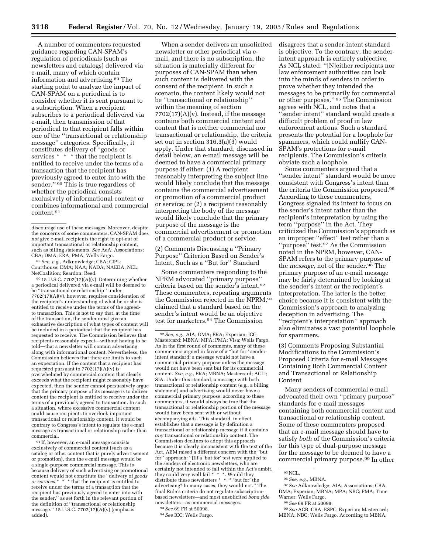A number of commenters requested guidance regarding CAN-SPAM's regulation of periodicals (such as newsletters and catalogs) delivered via e-mail, many of which contain information and advertising.89 The starting point to analyze the impact of CAN-SPAM on a periodical is to consider whether it is sent pursuant to a subscription. When a recipient subscribes to a periodical delivered via e-mail, then transmission of that periodical to that recipient falls within one of the ''transactional or relationship message'' categories. Specifically, it constitutes delivery of ''goods or services \* \* \* that the recipient is entitled to receive under the terms of a transaction that the recipient has previously agreed to enter into with the sender." <sup>90</sup> This is true regardless of whether the periodical consists exclusively of informational content or combines informational and commercial content.91

89*See, e.g.*, Adknowledge; CBA; CIPL; Courthouse; DMA; NAA; NADA; NAEDA; NCL; NetCoalition; Reardon; Reed.

90 15 U.S.C. 7702(17)(A)(v). Determining whether a periodical delivered via e-mail will be deemed to be ''transactional or relationship'' under  $7702(17)(A)(v)$ , however, requires consideration of the recipient's understanding of what he or she is entitled to receive under the terms of the agreedto transaction. This is not to say that, at the time of the transaction, the sender must give an exhaustive description of what types of content will be included in a periodical that the recipient has requested to receive. The Commission believes that recipients reasonably expect—without having to be told—that a newsletter will contain advertising along with informational content. Nevertheless, the Commission believes that there are limits to such an expectation. If the content that a recipient has requested pursuant to 7702(17)(A)(v) is overwhelmed by commercial content that clearly exceeds what the recipient might reasonably have expected, then the sender cannot persuasively argue that the primary purpose of its message is to deliver content the recipient is entitled to receive under the terms of a previously agreed to transaction. In such a situation, where excessive commercial content could cause recipients to overlook important transactional or relationship content, it would be contrary to Congress's intent to regulate the e-mail message as transactional or relationship rather than commercial.

91 If, however, an e-mail message consists exclusively of commercial content (such as a catalog or other content that is purely advertisement or promotion), then the e-mail message would be a single-purpose commercial message. This is because delivery of such advertising or promotional content would not constitute the ''delivery of *goods or services* \* \* \* that the recipient is entitled to receive under the terms of a transaction that the recipient has previously agreed to enter into with the sender,'' as set forth in the relevant portion of the definition of ''transactional or relationship message.'' 15 U.S.C. 7702(17)(A)(v) (emphasis added).

When a sender delivers an unsolicited newsletter or other periodical via email, and there is no subscription, the situation is materially different for purposes of CAN-SPAM than when such content is delivered with the consent of the recipient. In such a scenario, the content likely would not be ''transactional or relationship'' within the meaning of section  $7702(17)(A)(v)$ . Instead, if the message contains both commercial content and content that is neither commercial nor transactional or relationship, the criteria set out in section 316.3(a)(3) would apply. Under that standard, discussed in detail below, an e-mail message will be deemed to have a commercial primary purpose if either: (1) A recipient reasonably interpreting the subject line would likely conclude that the message contains the commercial advertisement or promotion of a commercial product or service; or (2) a recipient reasonably interpreting the body of the message would likely conclude that the primary purpose of the message is the commercial advertisement or promotion of a commercial product or service.

(2) Comments Discussing a ''Primary Purpose'' Criterion Based on Sender's Intent, Such as a ''But for'' Standard

Some commenters responding to the NPRM advocated ''primary purpose'' criteria based on the sender's intent.92 These commenters, repeating arguments the Commission rejected in the NPRM,93 claimed that a standard based on the sender's intent would be an objective test for marketers.94 The Commission

disagrees that a sender-intent standard is objective. To the contrary, the senderintent approach is entirely subjective. As NCL stated: ''[N]either recipients nor law enforcement authorities can look into the minds of senders in order to prove whether they intended the messages to be primarily for commercial or other purposes.'' 95 The Commission agrees with NCL, and notes that a ''sender intent'' standard would create a difficult problem of proof in law enforcement actions. Such a standard presents the potential for a loophole for spammers, which could nullify CAN-SPAM's protections for e-mail recipients. The Commission's criteria obviate such a loophole.

Some commenters argued that a ''sender intent'' standard would be more consistent with Congress's intent than the criteria the Commission proposed.96 According to these commenters, Congress signaled its intent to focus on the sender's intent rather than the recipient's interpretation by using the term ''purpose'' in the Act. They criticized the Commission's approach as an improper ''effect'' test rather than a ''purpose'' test.97 As the Commission noted in the NPRM, however, CAN-SPAM refers to the primary purpose of the *message*, not of the sender.98 The primary purpose of an e-mail message may be fairly determined by looking at the sender's intent or the recipient's interpretation. The latter is the better choice because it is consistent with the Commission's approach to analyzing deception in advertising. The ''recipient's interpretation'' approach also eliminates a vast potential loophole for spammers.

(3) Comments Proposing Substantial Modifications to the Commission's Proposed Criteria for e-mail Messages Containing Both Commercial Content and Transactional or Relationship Content

Many senders of commercial e-mail advocated their own ''primary purpose'' standards for e-mail messages containing both commercial content and transactional or relationship content. Some of these commenters proposed that an e-mail message should have to satisfy *both* of the Commission's criteria for this type of dual-purpose message for the message to be deemed to have a commercial primary purpose.99 In other

discourage use of these messages. Moreover, despite the concerns of some commenters, CAN-SPAM does *not* give e-mail recipients the right to opt-out of important transactional or relationship content, such as billing statements. *See* AeA; Associations; CBA; DMA; ERA; PMA; Wells Fargo.

<sup>92</sup>*See, e.g.*, AIA; DMA; ERA; Experian; ICC; Mastercard; MBNA; MPA; PMA; Visa; Wells Fargo. As in the first round of comments, many of these commenters argued in favor of a ''but for'' senderintent standard: a message would not have a commercial primary purpose unless the message would not have been sent but for its commercial content. *See, e.g.*, ERA; MBNA; Mastercard; ACLI; SIA. Under this standard, a message with both transactional or relationship content (*e.g.*, a billing statement) and advertising would never have a commercial primary purpose; according to these commenters, it would always be true that the transactional or relationship portion of the message would have been sent with or without accompanying ads. This standard, in effect, establishes that a message is by definition a transactional or relationship message if it contains *any* transactional or relationship content. The Commission declines to adopt this approach because it is clearly inconsistent with the text of the Act. ABM raised a different concern with the ''but for'' approach: ''[I]f a 'but for' test were applied to the senders of electronic newsletters, who are certainly not intended to fall within the Act's ambit, they could very well fail \* \* \*. Would they distribute these newsletters \* \* \* 'but for' the advertising? In many cases, they would not.'' The final Rule's criteria do not regulate subscriptionbased newsletters—and most unsolicited *bona fide* newsletters—as commercial messages. 93*See* 69 FR at 50098.

<sup>94</sup>*See* ICC; Wells Fargo.

<sup>95</sup>NCL.

<sup>96</sup>*See, e.g.*, MBNA.

<sup>97</sup>*See* Adknowledge; AIA; Associations; CBA; DMA; Experian; MBNA; MPA; NBC; PMA; Time Warner; Wells Fargo.

<sup>98</sup>*See* 69 FR at 50098.

<sup>99</sup>*See* ACB; CBA; ESPC; Experian; Mastercard; MBNA; NBC; Wells Fargo. According to MBNA,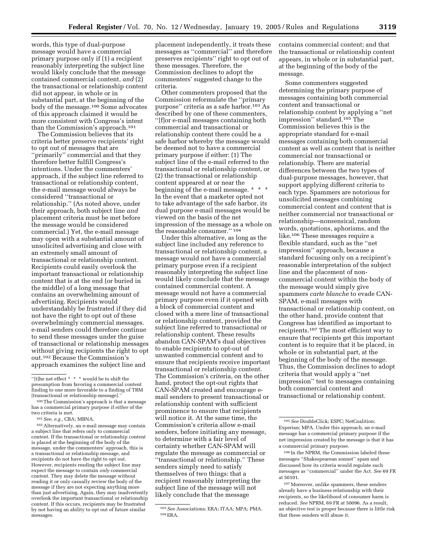words, this type of dual-purpose message would have a commercial primary purpose only if (1) a recipient reasonably interpreting the subject line would likely conclude that the message contained commercial content, *and* (2) the transactional or relationship content did not appear, in whole or in substantial part, at the beginning of the body of the message.<sup>100</sup> Some advocates of this approach claimed it would be more consistent with Congress's intent than the Commission's approach.101

The Commission believes that its criteria better preserve recipients' right to opt out of messages that are ''primarily'' commercial and that they therefore better fulfill Congress's intentions. Under the commenters' approach, if the subject line referred to transactional or relationship content, the e-mail message would always be considered ''transactional or relationship.'' (As noted above, under their approach, both subject line *and* placement criteria must be met before the message would be considered commercial.) Yet, the e-mail message may open with a substantial amount of unsolicited advertising and close with an extremely small amount of transactional or relationship content. Recipients could easily overlook the important transactional or relationship content that is at the end (or buried in the middle) of a long message that contains an overwhelming amount of advertising. Recipients would understandably be frustrated if they did not have the right to opt out of these overwhelmingly commercial messages. e-mail senders could therefore continue to send these messages under the guise of transactional or relationship messages without giving recipients the right to opt out.102 Because the Commission's approach examines the subject line and

102Alternatively, an e-mail message may contain a subject line that refers only to commercial content. If the transactional or relationship content is placed at the beginning of the body of the message, under the commenters' approach, this is a transactional or relationship message, and recipients do not have the right to opt out. However, recipients reading the subject line may expect the message to contain *only* commercial content. They may delete the message without reading it or only casually review the body of the message if they are not expecting anything more than just advertising. Again, they may inadvertently overlook the important transactional or relationship content. If this occurs, recipients may be frustrated by not having an ability to opt out of future similar messages.

placement independently, it treats these messages as ''commercial'' and therefore preserves recipients'' right to opt out of these messages. Therefore, the Commission declines to adopt the commenters' suggested change to the criteria.

Other commenters proposed that the Commission reformulate the ''primary purpose'' criteria as a safe harbor.103 As described by one of these commenters, ''[f]or e-mail messages containing both commercial and transactional or relationship content there could be a safe harbor whereby the message would be deemed not to have a commercial primary purpose if either: (1) The subject line of the e-mail referred to the transactional or relationship content, or (2) the transactional or relationship content appeared at or near the beginning of the e-mail message. \* \* \* In the event that a marketer opted not to take advantage of the safe harbor, its dual purpose e-mail messages would be viewed on the basis of the net impression of the message as a whole on the reasonable consumer.'' 104

Under this alternative, as long as the subject line included any reference to transactional or relationship content, a message would not have a commercial primary purpose even if a recipient reasonably interpreting the subject line would likely conclude that the message contained commercial content. A message would not have a commercial primary purpose even if it opened with a block of commercial content and closed with a mere line of transactional or relationship content, provided the subject line referred to transactional or relationship content. These results abandon CAN-SPAM's dual objectives to enable recipients to opt-out of unwanted commercial content and to ensure that recipients receive important transactional or relationship content. The Commission's criteria, on the other hand, protect the opt-out rights that CAN-SPAM created and encourage email senders to present transactional or relationship content with sufficient prominence to ensure that recipients will notice it. At the same time, the Commission's criteria allow e-mail senders, before initiating any message, to determine with a fair level of certainty whether CAN-SPAM will regulate the message as commercial or ''transactional or relationship.'' These senders simply need to satisfy themselves of two things: that a recipient reasonably interpreting the subject line of the message will not likely conclude that the message

contains commercial content; and that the transactional or relationship content appears, in whole or in substantial part, at the beginning of the body of the message.

Some commenters suggested determining the primary purpose of messages containing both commercial content and transactional or relationship content by applying a ''net impression'' standard.105 The Commission believes this is the appropriate standard for e-mail messages containing both commercial content as well as content that is neither commercial nor transactional or relationship. There are material differences between the two types of dual-purpose messages, however, that support applying different criteria to each type. Spammers are notorious for unsolicited messages combining commercial content and content that is neither commercial nor transactional or relationship—nonsensical, random words, quotations, aphorisms, and the like.106 These messages require a flexible standard, such as the ''net impression'' approach, because a standard focusing only on a recipient's reasonable interpretation of the subject line and the placement of noncommercial content within the body of the message would simply give spammers *carte blanche* to evade CAN-SPAM. e-mail messages with transactional or relationship content, on the other hand, provide content that Congress has identified as important to recipients.107 The most efficient way to ensure that recipients get this important content is to require that it be placed, in whole or in substantial part, at the beginning of the body of the message. Thus, the Commission declines to adopt criteria that would apply a ''net impression'' test to messages containing both commercial content and transactional or relationship content.

<sup>&#</sup>x27;'[t]he net effect \* \* \* would be to shift the presumption from favoring a commercial content finding to one more favorable to a finding of TRM [transactional or relationship message].''

<sup>100</sup>The Commission's approach is that a message has a commercial primary purpose if *either* of the two criteria is met.

<sup>101</sup>*See, e.g.*, CBA; MBNA.

<sup>103</sup>*See* Associations; ERA; ITAA; MPA; PMA. 104ERA.

<sup>105</sup>*See* DoubleClick; ESPC; NetCoalition; Experian; MPA. Under this approach, an e-mail message has a commercial primary purpose if the net impression created by the message is that it has a commercial primary purpose.

<sup>106</sup> In the NPRM, the Commission labeled these messages ''Shakespearean sonnet'' spam and discussed how its criteria would regulate such messages as ''commercial'' under the Act. *See* 69 FR at 50101.

<sup>107</sup>Moreover, unlike spammers, these senders already have a business relationship with their recipients, so the likelihood of consumer harm is reduced. *See* NPRM, 69 FR at 50096. As a result, an objective test is proper because there is little risk that these senders will abuse it.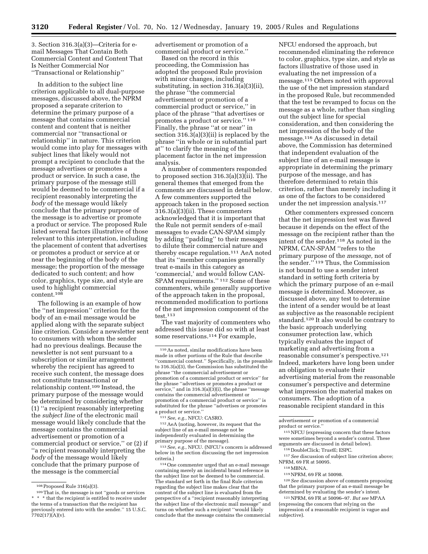3. Section 316.3(a)(3)—Criteria for email Messages That Contain Both Commercial Content and Content That Is Neither Commercial Nor ''Transactional or Relationship''

In addition to the subject line criterion applicable to all dual-purpose messages, discussed above, the NPRM proposed a separate criterion to determine the primary purpose of a message that contains commercial content and content that is neither commercial nor ''transactional or relationship'' in nature. This criterion would come into play for messages with subject lines that likely would not prompt a recipient to conclude that the message advertises or promotes a product or service. In such a case, the primary purpose of the message still would be deemed to be commercial if a recipient reasonably interpreting the *body* of the message would likely conclude that the primary purpose of the message is to advertise or promote a product or service. The proposed Rule listed several factors illustrative of those relevant to this interpretation, including the placement of content that advertises or promotes a product or service at or near the beginning of the body of the message; the proportion of the message dedicated to such content; and how color, graphics, type size, and style are used to highlight commercial content.108

The following is an example of how the ''net impression'' criterion for the body of an e-mail message would be applied along with the separate subject line criterion. Consider a newsletter sent to consumers with whom the sender had no previous dealings. Because the newsletter is not sent pursuant to a subscription or similar arrangement whereby the recipient has agreed to receive such content, the message does not constitute transactional or relationship content.109 Instead, the primary purpose of the message would be determined by considering whether (1) ''a recipient reasonably interpreting the *subject line* of the electronic mail message would likely conclude that the message contains the commercial advertisement or promotion of a commercial product or service,'' or (2) if ''a recipient reasonably interpreting the *body* of the message would likely conclude that the primary purpose of the message is the commercial

advertisement or promotion of a commercial product or service.''

Based on the record in this proceeding, the Commission has adopted the proposed Rule provision with minor changes, including substituting, in section 316.3(a)(3)(ii), the phrase ''the commercial advertisement or promotion of a commercial product or service,'' in place of the phrase ''that advertises or promotes a product or service.'' 110 Finally, the phrase "at or near" in section  $316.3(a)(3)(ii)$  is replaced by the phrase ''in whole or in substantial part at'' to clarify the meaning of the placement factor in the net impression analysis.

A number of commenters responded to proposed section 316.3(a)(3)(ii). The general themes that emerged from the comments are discussed in detail below. A few commenters supported the approach taken in the proposed section 316.3(a)(3)(ii). These commenters acknowledged that it is important that the Rule not permit senders of e-mail messages to evade CAN-SPAM simply by adding ''padding'' to their messages to dilute their commercial nature and thereby escape regulation.111 AeA noted that its ''member companies generally treat e-mails in this category as 'commercial,' and would follow CAN-SPAM requirements.'' 112 Some of these commenters, while generally supportive of the approach taken in the proposal, recommended modification to portions of the net impression component of the test.113

The vast majority of commenters who addressed this issue did so with at least some reservations.<sup>114</sup> For example,

111*See, e.g.*, NFCU: CASRO.

112AeA (noting, however, its request that the subject line of an e-mail message not be independently evaluated in determining the primary purpose of the message).

113*See, e.g.*, NFCU. (NFCU's concern is addressed below in the section discussing the net impression criteria.)

114One commenter urged that an e-mail message containing merely an incidental brand reference in the subject line not be deemed to be commercial. The standard set forth in the final Rule criterion regarding the subject line makes clear that the content of the subject line is evaluated from the perspective of a ''recipient reasonably interpreting the subject line of the electronic mail message'' and turns on whether such a recipient ''would likely conclude that the message contains the commercial

NFCU endorsed the approach, but recommended eliminating the reference to color, graphics, type size, and style as factors illustrative of those used in evaluating the net impression of a message.115 Others noted with approval the use of the net impression standard in the proposed Rule, but recommended that the test be revamped to focus on the message as a whole, rather than singling out the subject line for special consideration, and then considering the net impression of the body of the message.116 As discussed in detail above, the Commission has determined that independent evaluation of the subject line of an e-mail message is appropriate in determining the primary purpose of the message, and has therefore determined to retain this criterion, rather than merely including it as one of the factors to be considered under the net impression analysis.<sup>117</sup>

Other commenters expressed concern that the net impression test was flawed because it depends on the effect of the message on the recipient rather than the intent of the sender.118 As noted in the NPRM, CAN-SPAM ''refers to the primary purpose of the *message,* not of the sender.'' 119 Thus, the Commission is not bound to use a sender intent standard in setting forth criteria by which the primary purpose of an e-mail message is determined. Moreover, as discussed above, any test to determine the intent of a sender would be at least as subjective as the reasonable recipient standard.120 It also would be contrary to the basic approach underlying consumer protection law, which typically evaluates the impact of marketing and advertising from a reasonable consumer's perspective.121 Indeed, marketers have long been under an obligation to evaluate their advertising material from the reasonable consumer's perspective and determine what impression the material makes on consumers. The adoption of a reasonable recipient standard in this

<sup>108</sup>Proposed Rule 316(a)(3).

<sup>109</sup>That is, the message is not ''goods or services \* \* \* that the recipient is entitled to receive under the terms of a transaction that the recipient has previously entered into with the sender.'' 15 U.S.C. 7702(17)(A)(v).

<sup>110</sup>As noted, similar modifications have been made in other portions of the Rule that describe ''commercial content.'' Specifically, in the preamble to 316.3(a)(3), the Commission has substituted the phrase ''the commercial advertisement or promotion of a commercial product or service'' for the phrase ''advertises or promotes a product or service," and in  $316.3(a)(3)(i)$ , the phrase "message contains the commercial advertisement or promotion of a commercial product or service'' is substituted for the phrase ''advertises or promotes a product or service.''

advertisement or promotion of a commercial product or service.''

<sup>115</sup>NFCU (expressing concern that these factors were sometimes beyond a sender's control. These arguments are discussed in detail below).

<sup>116</sup> DoubleClick; TrustE; ESPC.

<sup>117</sup>*See* discussion of subject line criterion above; NPRM, 69 FR at 50095.

<sup>118</sup>MBNA.

<sup>119</sup>NPRM, 69 FR at 50098.

<sup>120</sup>*See* discussion above of comments proposing that the primary purpose of an e-mail message be determined by evaluating the sender's intent.

<sup>121</sup>NPRM, 69 FR at 50096–97. *But see* MPAA (expressing the concern that relying on the impression of a reasonable recipient is vague and subjective).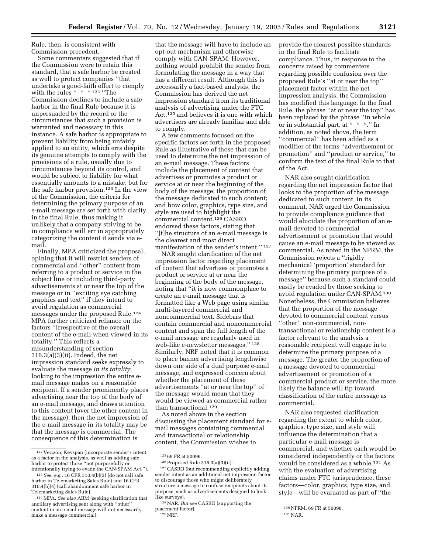Rule, then, is consistent with Commission precedent.

Some commenters suggested that if the Commission were to retain this standard, that a safe harbor be created as well to protect companies ''that undertake a good-faith effort to comply with the rules \* \* \* 122 "The Commission declines to include a safe harbor in the final Rule because it is unpersuaded by the record or the circumstances that such a provision is warranted and necessary in this instance. A safe harbor is appropriate to prevent liability from being unfairly applied to an entity, which errs despite its genuine attempts to comply with the provisions of a rule, usually due to circumstances beyond its control, and would be subject to liability for what essentially amounts to a mistake, but for the safe harbor provision.123 In the view of the Commission, the criteria for determining the primary purpose of an e-mail message are set forth with clarity in the final Rule, thus making it unlikely that a company striving to be in compliance will err in appropriately categorizing the content it sends via email.

Finally, MPA criticized the proposal, opining that it will restrict senders of commercial and ''other'' content from referring to a product or service in the subject line or including third-party advertisements at or near the top of the message or in ''exciting eye catching graphics and text'' if they intend to avoid regulation as commercial messages under the proposed Rule.124 MPA further criticized reliance on the factors ''irrespective of the overall content of the e-mail when viewed in its totality.'' This reflects a misunderstanding of section 316.3(a)(3)(ii). Indeed, the net impression standard seeks expressly to evaluate the message *in its totality,* looking to the impression the entire email message makes on a reasonable recipient. If a sender prominently places advertising near the top of the body of an e-mail message, and draws attention to this content (over the other content in the message), then the net impression of the e-mail message in its totality may be that the message is commercial. The consequence of this determination is

that the message will have to include an opt-out mechanism and otherwise comply with CAN-SPAM. However, nothing would prohibit the sender from formulating the message in a way that has a different result. Although this is necessarily a fact-based analysis, the Commission has derived the net impression standard from its traditional analysis of advertising under the FTC Act,<sup>125</sup> and believes it is one with which advertisers are already familiar and able to comply.

A few comments focused on the specific factors set forth in the proposed Rule as illustrative of those that can be used to determine the net impression of an e-mail message. These factors include the placement of content that advertises or promotes a product or service at or near the beginning of the body of the message; the proportion of the message dedicated to such content; and how color, graphics, type size, and style are used to highlight the commercial content.126 CASRO endorsed these factors, stating that ''[t]he structure of an e-mail message is the clearest and most direct manifestation of the sender's intent.'' 127

NAR sought clarification of the net impression factor regarding placement of content that advertises or promotes a product or service at or near the beginning of the body of the message, noting that ''it is now commonplace to create an e-mail message that is formatted like a Web page using similar multi-layered commercial and noncommercial text. Sidebars that contain commercial and noncommercial content and span the full length of the e-mail message are regularly used in web-like e-newsletter messages.'' 128 Similarly, NRF noted that it is common to place banner advertising lengthwise down one side of a dual purpose e-mail message, and expressed concern about whether the placement of these advertisements ''at or near the top'' of the message would mean that they would be viewed as commercial rather than transactional.<sup>129</sup>

As noted above in the section discussing the placement standard for email messages containing commercial and transactional or relationship content, the Commission wishes to

125 69 FR at 50096.

provide the clearest possible standards in the final Rule to facilitate compliance. Thus, in response to the concerns raised by commenters regarding possible confusion over the proposed Rule's ''at or near the top'' placement factor within the net impression analysis, the Commission has modified this language. In the final Rule, the phrase ''at or near the top'' has been replaced by the phrase ''in whole or in substantial part, at \* \* \*.'' In addition, as noted above, the term ''commercial'' has been added as a modifier of the terms ''advertisement or promotion'' and ''product or service,'' to conform the text of the final Rule to that of the Act.

NAR also sought clarification regarding the net impression factor that looks to the proportion of the message dedicated to such content. In its comment, NAR urged the Commission to provide compliance guidance that would elucidate the proportion of an email devoted to commercial advertisement or promotion that would cause an e-mail message to be viewed as commercial. As noted in the NPRM, the Commission rejects a ''rigidly mechanical 'proportion' standard for determining the primary purpose of a message'' because such a standard could easily be evaded by those seeking to avoid regulation under CAN-SPAM.130 Nonetheless, the Commission believes that the proportion of the message devoted to commercial content versus ''other'' non-commercial, nontransactional or relationship content is a factor relevant to the analysis a reasonable recipient will engage in to determine the primary purpose of a message. The greater the proportion of a message devoted to commercial advertisement or promotion of a commercial product or service, the more likely the balance will tip toward classification of the entire message as commercial.

NAR also requested clarification regarding the extent to which color, graphics, type size, and style will influence the determination that a particular e-mail message is commercial, and whether each would be considered independently or the factors would be considered as a whole.131 As with the evaluation of advertising claims under FTC jurisprudence, these factors—color, graphics, type size, and style—will be evaluated as part of ''the

<sup>122</sup> Verizon; Keyspan (incorporate sender's intent as a factor in the analysis, as well as adding safe harbor to protect those ''not purposefully or intentionally trying to evade the CAN-SPAM Act.'').

<sup>123</sup>*See, e.g.*, 16 CFR 310.4(b)(3) (do not call safe harbor in Telemarketing Sales Rule) and 16 CFR 310.4(b)(4) (call abandonment safe harbor in Telemarketing Sales Rule).

<sup>124</sup>MPA. *See also* ABM (seeking clarification that ancillary advertising sent along with ''other'' content in an e-mail message will not necessarily make a message commercial).

<sup>126</sup>Proposed Rule 316.3(a)(3)(ii).

<sup>127</sup>CASRO (but recommending explicitly adding sender intent as an additional net impression factor to discourage those who might deliberately structure a message to confuse recipients about its purpose, such as advertisements designed to look like surveys).

<sup>128</sup>NAR. *But see* CASRO (supporting the placement factor). 129NRF.

<sup>130</sup>NPRM, 69 FR at 50098.

<sup>131</sup>NAR.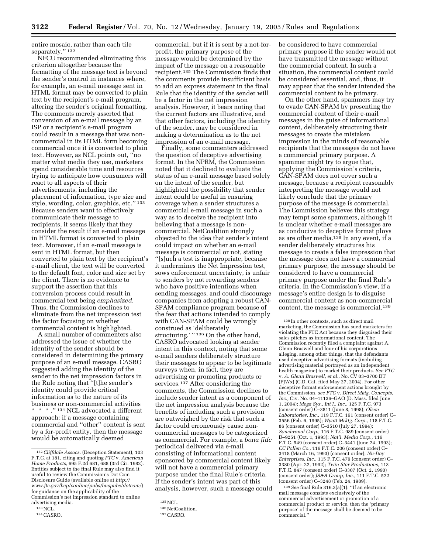entire mosaic, rather than each tile separately."<sup>132</sup>

NFCU recommended eliminating this criterion altogether because the formatting of the message text is beyond the sender's control in instances where, for example, an e-mail message sent in HTML format may be converted to plain text by the recipient's e-mail program, altering the sender's original formatting. The comments merely asserted that conversion of an e-mail message by an ISP or a recipient's e-mail program could result in a message that was noncommercial in its HTML form becoming commercial once it is converted to plain text. However, as NCL points out, ''no matter what media they use, marketers spend considerable time and resources trying to anticipate how consumers will react to all aspects of their advertisements, including the placement of information, type size and style, wording, color, graphics, etc.'' 133 Because senders want to effectively communicate their message to recipients, it seems likely that they consider the result if an e-mail message in HTML format is converted to plain text. Moreover, if an e-mail message is sent in HTML format, but then converted to plain text by the recipient's e-mail client, the text will be converted to the default font, color and size set by the client. There is no evidence to support the assertion that this conversion process could result in commercial text being *emphasized.* Thus, the Commission declines to eliminate from the net impression test the factor focusing on whether commercial content is highlighted.

A small number of commenters also addressed the issue of whether the identity of the sender should be considered in determining the primary purpose of an e-mail message. CASRO suggested adding the identity of the sender to the net impression factors in the Rule noting that ''[t]he sender's identity could provide critical information as to the nature of its business or non-commercial activities  $^{\star}$   $\hspace{0.1mm}^{\star}$   $\hspace{0.1mm}^{\star}$  ."  $^{134}$  NCL advocated a different approach: if a message containing commercial and ''other'' content is sent by a for-profit entity, then the message would be automatically deemed

commercial, but if it is sent by a not-forprofit, the primary purpose of the message would be determined by the impact of the message on a reasonable recipient.135 The Commission finds that the comments provide insufficient basis to add an express statement in the final Rule that the identity of the sender will be a factor in the net impression analysis. However, it bears noting that the current factors are illustrative, and that other factors, including the identity of the sender, may be considered in making a determination as to the net impression of an e-mail message.

Finally, some commenters addressed the question of deceptive advertising format. In the NPRM, the Commission noted that it declined to evaluate the status of an e-mail message based solely on the intent of the sender, but highlighted the possibility that sender intent could be useful in ensuring coverage when a sender structures a commercial e-mail message in such a way as to deceive the recipient into believing that a message is noncommercial. NetCoalition strongly objected to the idea that sender's intent could impact on whether an e-mail message is commercial or not, stating ''[s]uch a test is inappropriate, because it undermines the Net Impression test, sows enforcement uncertainty, is unfair to senders by not rewarding senders who have positive intentions when sending messages, and could discourage companies from adopting a robust CAN-SPAM compliance program because of the fear that actions intended to comply with CAN-SPAM could be wrongly construed as 'deliberately structuring.' " 136 On the other hand, CASRO advocated looking at sender intent in this context, noting that some e-mail senders deliberately structure their messages to appear to be legitimate surveys when, in fact, they are advertising or promoting products or services.<sup>137</sup> After considering the comments, the Commission declines to include sender intent as a component of the net impression analysis because the benefits of including such a provision are outweighed by the risk that such a factor could erroneously cause noncommercial messages to be categorized as commercial. For example, a *bona fide* periodical delivered via e-mail consisting of informational content sponsored by commercial content likely will not have a commercial primary purpose under the final Rule's criteria. If the sender's intent was part of this analysis, however, such a message could be considered to have commercial primary purpose if the sender would not have transmitted the message without the commercial content. In such a situation, the commercial content could be considered essential, and, thus, it may appear that the sender intended the commercial content to be primary.

On the other hand, spammers may try to evade CAN-SPAM by presenting the commercial content of their e-mail messages in the guise of informational content, deliberately structuring their messages to create the mistaken impression in the minds of reasonable recipients that the messages do not have a commercial primary purpose. A spammer might try to argue that, applying the Commission's criteria, CAN-SPAM does not cover such a message, because a recipient reasonably interpreting the message would not likely conclude that the primary purpose of the message is commercial. The Commission believes this strategy may tempt some spammers, although it is unclear whether e-mail messages are as conducive to deceptive format ploys as are other media.138 In any event, if a sender deliberately structures his message to create a false impression that the message does not have a commercial primary purpose, the message should be considered to have a commercial primary purpose under the final Rule's criteria. In the Commission's view, if a message's entire design is to disguise commercial content as non-commercial content, the message is commercial.139

139*See* final Rule 316.3(a)(1): ''If an electronic mail message consists exclusively of the commercial advertisement or promotion of a commercial product or service, then the 'primary purpose' of the message shall be deemed to be commercial.''

<sup>132</sup>*Cliffdale Assocs.* (Deception Statement), 103 F.T.C. at 181, citing and quoting *FTC* v. *American Home Products,* 695 F.2d 681, 688 (3rd Cir. 1982). Entities subject to the final Rule may also find it useful to review the Commission's Dot Com Disclosure Guide (available online at *http:// www.ftc.gov/bcp/conline/pubs/buspubs/dotcom/*) for guidance on the applicability of the Commission's net impression standard to online advertising media.

<sup>133</sup>NCL.

<sup>134</sup>CASRO.

<sup>135</sup>NCL.

<sup>136</sup> NetCoalition.

<sup>137</sup>CASRO.

<sup>138</sup> In other contexts, such as direct mail marketing, the Commission has sued marketers for violating the FTC Act because they disguised their sales pitches as informational content. The Commission recently filed a complaint against A. Glenn Braswell and four of his corporations alleging, among other things, that the defendants used deceptive advertising formats (including advertising material portrayed as an independent health magazine) to market their products. *See FTC* v. *A. Glenn Braswell, et al.,* No. CV 03–3700 DT (PJWx) (C.D. Cal. filed May 27, 2004). For other deceptive format enforcement actions brought by the Commission, *see FTC* v. *Direct Mktg. Concepts, Inc.,* Civ. No. 04–11136–GAO (D. Mass. filed June 1, 2004); *Mega Sys., Int'l., Inc.,* 125 F.T.C. 973 (consent order) C–3811 (June 8, 1998); *Olsen Laboratories, Inc.,* 119 F.T.C. 161 (consent order) C– 3556 (Feb. 6, 1995); *Wyatt Mrktg. Corp.,* 118 F.T.C. 86 (consent order) C–3510 (July 27, 1994); *Synchronal Corp.,* 116 F.T.C. 989 (consent order) D–9251 (Oct. 1, 1993); *Nat'l. Media Corp.,* 116 F.T.C. 549 (consent order) C–3441 (June 24, 1993); *CC Pollen Co.,* 116 F.T.C. 206 (consent order) C– 3418 (March 16, 1993) (consent order); *Nu-Day Enterprises, Inc.,* 115 F.T.C. 479 (consent order) C– 3380 (Apr. 22, 1992); *Twin Star Productions,* 113 F.T.C. 847 (consent order) C–3307 (Oct. 2, 1990) (consent order); *JS&A Group, Inc.,* 111 F.T.C. 522 (consent order) C–3248 (Feb. 24, 1989).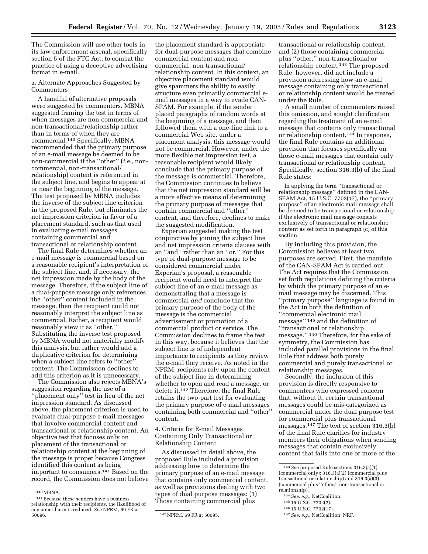The Commission will use other tools in its law enforcement arsenal, specifically section 5 of the FTC Act, to combat the practice of using a deceptive advertising format in e-mail.

a. Alternate Approaches Suggested by Commenters

A handful of alternative proposals were suggested by commenters. MBNA suggested framing the test in terms of when messages are non-commercial and non-transactional/relationship rather than in terms of when they are commercial.140 Specifically, MBNA recommended that the primary purpose of an e-mail message be deemed to be non-commercial if the ''other'' (*i.e.*, noncommercial, non-transactional/ relationship) content is referenced in the subject line, and begins to appear at or near the beginning of the message. The test proposed by MBNA includes the inverse of the subject line criterion in the proposed Rule, but eliminates the net impression criterion in favor of a placement standard, such as that used in evaluating e-mail messages containing commercial and transactional or relationship content.

The final Rule determines whether an e-mail message is commercial based on a reasonable recipient's interpretation of the subject line, and, if necessary, the net impression made by the body of the message. Therefore, if the subject line of a dual-purpose message only references the ''other'' content included in the message, then the recipient could not reasonably interpret the subject line as commercial. Rather, a recipient would reasonably view it as ''other.'' Substituting the inverse test proposed by MBNA would not materially modify this analysis, but rather would add a duplicative criterion for determining when a subject line refers to ''other'' content. The Commission declines to add this criterion as it is unnecessary.

The Commission also rejects MBNA's suggestion regarding the use of a ''placement only'' test in lieu of the net impression standard. As discussed above, the placement criterion is used to evaluate dual-purpose e-mail messages that involve commercial content and transactional or relationship content. An objective test that focuses only on placement of the transactional or relationship content at the beginning of the message is proper because Congress identified this content as being important to consumers.141 Based on the record, the Commission does not believe

the placement standard is appropriate for dual-purpose messages that combine commercial content and noncommercial, non-transactional/ relationship content. In this context, an objective placement standard would give spammers the ability to easily structure even primarily commercial email messages in a way to evade CAN-SPAM. For example, if the sender placed paragraphs of random words at the beginning of a message, and then followed them with a one-line link to a commercial Web site, under a placement analysis, this message would not be commercial. However, under the more flexible net impression test, a reasonable recipient would likely conclude that the primary purpose of the message is commercial. Therefore, the Commission continues to believe that the net impression standard will be a more effective means of determining the primary purpose of messages that contain commercial and ''other'' content, and therefore, declines to make the suggested modification.

Experian suggested making the test conjunctive by joining the subject line and net impression criteria clauses with an ''and'' rather than an ''or.'' For this type of dual-purpose message to be considered commercial under Experian's proposal, a reasonable recipient would need to interpret the subject line of an e-mail message as demonstrating that a message is commercial *and* conclude that the primary purpose of the body of the message is the commercial advertisement or promotion of a commercial product or service. The Commission declines to frame the test in this way, because it believes that the subject line is of independent importance to recipients as they review the e-mail they receive. As noted in the NPRM, recipients rely upon the content of the subject line in determining whether to open and read a message, or delete it.142 Therefore, the final Rule retains the two-part test for evaluating the primary purpose of e-mail messages containing both commercial and ''other'' content.

#### 4. Criteria for E-mail Messages Containing Only Transactional or Relationship Content

As discussed in detail above, the proposed Rule included a provision addressing how to determine the primary purpose of an e-mail message that contains only commercial content, as well as provisions dealing with two types of dual purpose messages: (1) Those containing commercial plus

transactional or relationship content, and (2) those containing commercial plus ''other,'' non-transactional or relationship content.143 The proposed Rule, however, did not include a provision addressing how an e-mail message containing only transactional or relationship content would be treated under the Rule.

A small number of commenters raised this omission, and sought clarification regarding the treatment of an e-mail message that contains only transactional or relationship content.144 In response, the final Rule contains an additional provision that focuses specifically on those e-mail messages that contain only transactional or relationship content. Specifically, section 316.3(b) of the final Rule states:

In applying the term ''transactional or relationship message'' defined in the CAN-SPAM Act, 15 U.S.C. 7702(17), the ''primary purpose'' of an electronic mail message shall be deemed to be transactional or relationship if the electronic mail message consists exclusively of transactional or relationship content as set forth in paragraph (c) of this section.

By including this provision, the Commission believes at least two purposes are served. First, the mandate of the CAN-SPAM Act is carried out. The Act requires that the Commission set forth regulations defining the criteria by which the primary purpose of an email message may be discerned. This ''primary purpose'' language is found in the Act in both the definition of ''commercial electronic mail message'' 145 and the definition of ''transactional or relationship message.'' 146 Therefore, for the sake of symmetry, the Commission has included parallel provisions in the final Rule that address both purely commercial and purely transactional or relationship messages.

Secondly, the inclusion of this provision is directly responsive to commenters who expressed concern that, without it, certain transactional messages could be mis-categorized as commercial under the dual purpose test for commercial plus transactional messages.147 The text of section 316.3(b) of the final Rule clarifies for industry members their obligations when sending messages that contain exclusively content that falls into one or more of the

- 144*See, e.g.*, NetCoalition.
- 145 15 U.S.C. 7702(2).
- 146 15 U.S.C. 7702(17).

<sup>140</sup>MBNA.

<sup>141</sup>Because these senders have a business relationship with their recipients, the likelihood of consumer harm is reduced. *See* NPRM, 69 FR at

<sup>50096.</sup> 142NPRM, 69 FR at 50095.

<sup>143</sup>*See* proposed Rule sections 316.3(a)(1) (commercial only); 316.3(a)(2) (commercial plus transactional or relationship) and 316.3(a)(3) (commercial plus ''other,'' non-transactional or relationship).

<sup>147</sup>*See, e.g.*, NetCoalition; NRF.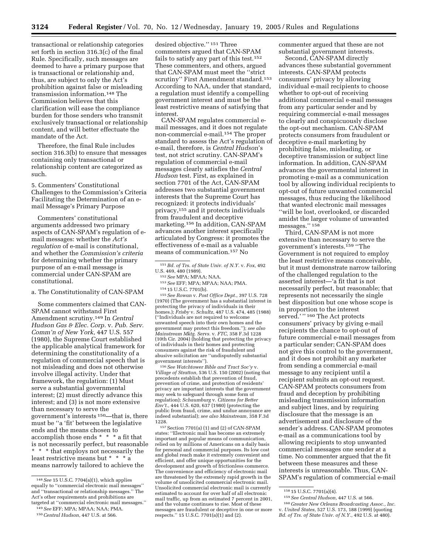transactional or relationship categories set forth in section 316.3(c) of the final Rule. Specifically, such messages are deemed to have a primary purpose that is transactional or relationship and, thus, are subject to only the Act's prohibition against false or misleading transmission information.148 The Commission believes that this clarification will ease the compliance burden for those senders who transmit exclusively transactional or relationship content, and will better effectuate the mandate of the Act.

Therefore, the final Rule includes section 316.3(b) to ensure that messages containing only transactional or relationship content are categorized as such.

5. Commenters' Constitutional Challenges to the Commission's Criteria Facilitating the Determination of an email Message's Primary Purpose

Commenters' constitutional arguments addressed two primary aspects of CAN-SPAM's regulation of email messages: whether the *Act's regulation* of e-mail is constitutional, and whether the *Commission's criteria* for determining whether the primary purpose of an e-mail message is commercial under CAN-SPAM are constitutional.

a. The Constitutionality of CAN-SPAM

Some commenters claimed that CAN-SPAM cannot withstand First Amendment scrutiny.149 In *Central Hudson Gas & Elec. Corp.* v. *Pub. Serv. Comm'n of New York,* 447 U.S. 557 (1980), the Supreme Court established the applicable analytical framework for determining the constitutionality of a regulation of commercial speech that is not misleading and does not otherwise involve illegal activity. Under that framework, the regulation: (1) Must serve a substantial governmental interest; (2) must directly advance this interest; and (3) is not more extensive than necessary to serve the government's interests 150—that is, there must be ''a 'fit' between the legislative ends and the means chosen to accomplish those ends \* \* \* a fit that is not necessarily perfect, but reasonable \* \* \* that employs not necessarily the least restrictive means but \* \* \* a means narrowly tailored to achieve the

149*See* EFF; MPA; MPAA; NAA; PMA. 150*Central Hudson,* 447 U.S. at 566.

CAN-SPAM regulates commercial email messages, and it does not regulate non-commercial e-mail.154 The proper standard to assess the Act's regulation of e-mail, therefore, is *Central Hudson*'s test, not strict scrutiny. CAN-SPAM's regulation of commercial e-mail messages clearly satisfies the *Central Hudson* test. First, as explained in section 7701 of the Act, CAN-SPAM addresses two substantial government interests that the Supreme Court has recognized: it protects individuals' privacy,155 and it protects individuals from fraudulent and deceptive marketing.156 In addition, CAN-SPAM advances another interest specifically articulated by Congress: it promotes the effectiveness of e-mail as a valuable means of communication.157 No

- 152*See* MPA; MPAA; NAA.
- 153*See* EFF; MPA; MPAA; NAA; PMA.
- 154 15 U.S.C. 7701(b).

155*See Rowan* v. *Post Office Dept.*, 397 U.S. 728 (1970) (The government has a substantial interest in protecting the privacy of individuals in their homes.); *Frisby* v. *Schultz,* 487 U.S. 474, 485 (1988) (''Individuals are not required to welcome unwanted speech into their own homes and the government may protect this freedom.''); *see also Mainstream Mktg. Servs.* v. *FTC,* 358 F.3d 1228 (10th Cir. 2004) (holding that protecting the privacy of individuals in their homes and protecting consumers against the risk of fraudulent and abusive solicitation are ''undisputedly substantial government interests'').

156*See Watchtower Bible and Tract Soc'y* v. *Village of Stratton,* 536 U.S. 150 (2002) (noting that precedents establish that prevention of fraud, prevention of crime, and protection of residents' privacy are important interests that the government may seek to safeguard through some form of regulation); *Schaumburg* v. *Citizens for Better Env't.,* 444 U.S. 620, 637 (1980) (protecting the public from fraud, crime, and undue annoyance are indeed substantial); *see also Mainstream,* 358 F.3d 1228.

157Section 7701(a) (1) and (2) of CAN-SPAM states: ''Electronic mail has become an extremely important and popular means of communication, relied on by millions of Americans on a daily basis for personal and commercial purposes. Its low cost and global reach make it extremely convenient and efficient, and offer unique opportunities for the development and growth of frictionless commerce. The convenience and efficiency of electronic mail are threatened by the extremely rapid growth in the volume of unsolicited commercial electronic mail. Unsolicited commercial electronic mail is currently estimated to account for over half of all electronic mail traffic, up from an estimated 7 percent in 2001, and the volume continues to rise. Most of these messages are fraudulent or deceptive in one or more respects.'' 15 U.S.C. 7701(a)(1) and (2).

commenter argued that these are not substantial government interests.

Second, CAN-SPAM directly advances these substantial government interests. CAN-SPAM protects consumers' privacy by allowing individual e-mail recipients to choose whether to opt-out of receiving additional commercial e-mail messages from any particular sender and by requiring commercial e-mail messages to clearly and conspicuously disclose the opt-out mechanism. CAN-SPAM protects consumers from fraudulent or deceptive e-mail marketing by prohibiting false, misleading, or deceptive transmission or subject line information. In addition, CAN-SPAM advances the governmental interest in promoting e-mail as a communication tool by allowing individual recipients to opt-out of future unwanted commercial messages, thus reducing the likelihood that wanted electronic mail messages ''will be lost, overlooked, or discarded amidst the larger volume of unwanted messages."<sup>158</sup>

Third, CAN-SPAM is not more extensive than necessary to serve the government's interests.159 ''The Government is not required to employ the least restrictive means conceivable, but it must demonstrate narrow tailoring of the challenged regulation to the asserted interest—'a fit that is not necessarily perfect, but reasonable; that represents not necessarily the single best disposition but one whose scope is in proportion to the interest served.'" 160 The Act protects consumers' privacy by giving e-mail recipients the chance to opt-out of future commercial e-mail messages from a particular sender; CAN-SPAM does not give this control to the government, and it does not prohibit any marketer from sending a commercial e-mail message to any recipient until a recipient submits an opt-out request. CAN-SPAM protects consumers from fraud and deception by prohibiting misleading transmission information and subject lines, and by requiring disclosure that the message is an advertisement and disclosure of the sender's address. CAN-SPAM promotes e-mail as a communications tool by allowing recipients to stop unwanted commercial messages one sender at a time. No commenter argued that the fit between these measures and these interests is unreasonable. Thus, CAN-SPAM's regulation of commercial e-mail

<sup>148</sup>*See* 15 U.S.C. 7704(a)(1), which applies equally to ''commercial electronic mail messages'' and ''transactional or relationship messages.'' The Act's other requirements and prohibitions are targeted at ''commercial electronic mail messages.''

desired objective.'' 151 Three commenters argued that CAN-SPAM fails to satisfy any part of this test.152 These commenters, and others, argued that CAN-SPAM must meet the ''strict scrutiny" First Amendment standard.<sup>153</sup> According to NAA, under that standard, a regulation must identify a compelling government interest and must be the least restrictive means of satisfying that interest.

<sup>151</sup>*Bd. of Trs. of State Univ. of N.Y.* v. *Fox,* 492 U.S. 469, 480 (1989).

<sup>158</sup> 15 U.S.C. 7701(a)(4).

<sup>159</sup>*See Central Hudson,* 447 U.S. at 566.

<sup>160</sup> *Greater New Orleans Broadcasting Assoc., Inc.*

v. *United States,* 527 U.S. 173, 188 (1999) (quoting *Bd. of Trs. of State Univ. of N.Y.,* 492 U.S. at 480).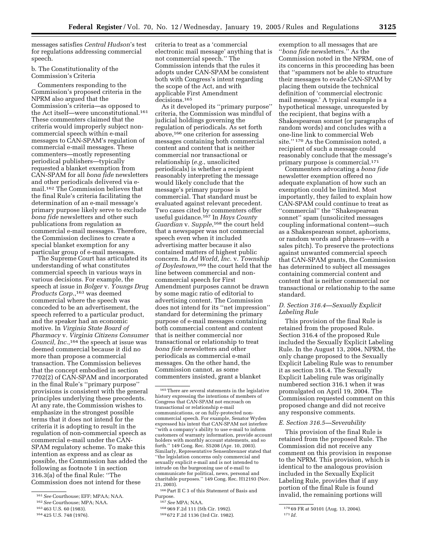messages satisfies *Central Hudson*'s test for regulations addressing commercial speech.

b. The Constitutionality of the Commission's Criteria

Commenters responding to the Commission's proposed criteria in the NPRM also argued that the Commission's criteria—as opposed to the Act itself—were unconstitutional.161 These commenters claimed that the criteria would improperly subject noncommercial speech within e-mail messages to CAN-SPAM's regulation of commercial e-mail messages. These commenters—mostly representing periodical publishers—typically requested a blanket exemption from CAN-SPAM for all *bona fide* newsletters and other periodicals delivered via email.162 The Commission believes that the final Rule's criteria facilitating the determination of an e-mail message's primary purpose likely serve to exclude *bona fide* newsletters and other such publications from regulation as commercial e-mail messages. Therefore, the Commission declines to create a special blanket exemption for any particular group of e-mail messages.

The Supreme Court has articulated its understanding of what constitutes commercial speech in various ways in various decisions. For example, the speech at issue in *Bolger* v. *Youngs Drug Products Corp.*,163 was deemed commercial where the speech was conceded to be an advertisement, the speech referred to a particular product, and the speaker had an economic motive. In *Virginia State Board of Pharmacy* v. *Virginia Citizens Consumer Council, Inc.*,164 the speech at issue was deemed commercial because it did no more than propose a commercial transaction. The Commission believes that the concept embodied in section 7702(2) of CAN-SPAM and incorporated in the final Rule's ''primary purpose'' provisions is consistent with the general principles underlying these precedents. At any rate, the Commission wishes to emphasize in the strongest possible terms that it does not intend for the criteria it is adopting to result in the regulation of non-commercial speech as commercial e-mail under the CAN-SPAM regulatory scheme. To make this intention as express and as clear as possible, the Commission has added the following as footnote 1 in section 316.3(a) of the final Rule: ''The Commission does not intend for these

criteria to treat as a 'commercial electronic mail message' anything that is not commercial speech.'' The Commission intends that the rules it adopts under CAN-SPAM be consistent both with Congress's intent regarding the scope of the Act, and with applicable First Amendment decisions.165

As it developed its ''primary purpose'' criteria, the Commission was mindful of judicial holdings governing the regulation of periodicals. As set forth above,166 one criterion for assessing messages containing both commercial content and content that is neither commercial nor transactional or relationship (*e.g.*, unsolicited periodicals) is whether a recipient reasonably interpreting the message would likely conclude that the message's primary purpose is commercial. That standard must be evaluated against relevant precedent. Two cases cited by commenters offer useful guidance.167 In *Hays County Guardian* v. *Supple*,168 the court held that a newspaper was not commercial speech even when it included advertising matter because it also contained matters of highest public concern. In *Ad World, Inc.* v. *Township of Doylestown*,169 the court held that the line between commercial and noncommercial speech for First Amendment purposes cannot be drawn by some magic ratio of editorial to advertising content. The Commission does not intend for its ''net impression'' standard for determining the primary purpose of e-mail messages containing both commercial content and content that is neither commercial nor transactional or relationship to treat *bona fide* newsletters and other periodicals as commercial e-mail messages. On the other hand, the Commission cannot, as some commenters insisted, grant a blanket

168 969 F.2d 111 (5th Cir. 1992).

169 672 F.2d 1136 (3rd Cir. 1982).

exemption to all messages that are ''*bona fide* newsletters.'' As the Commission noted in the NPRM, one of its concerns in this proceeding has been that ''spammers not be able to structure their messages to evade CAN-SPAM by placing them outside the technical definition of 'commercial electronic mail message.' A typical example is a hypothetical message, unrequested by the recipient, that begins with a Shakespearean sonnet (or paragraphs of random words) and concludes with a one-line link to commercial Web site.'' 170 As the Commission noted, a recipient of such a message could reasonably conclude that the message's primary purpose is commercial.171

Commenters advocating a *bona fide* newsletter exemption offered no adequate explanation of how such an exemption could be limited. Most importantly, they failed to explain how CAN-SPAM could continue to treat as ''commercial'' the ''Shakespearean sonnet'' spam (unsolicited messages coupling informational content—such as a Shakespearean sonnet, aphorisms, or random words and phrases—with a sales pitch). To preserve the protections against unwanted commercial speech that CAN-SPAM grants, the Commission has determined to subject all messages containing commercial content and content that is neither commercial nor transactional or relationship to the same standard.

#### *D. Section 316.4—Sexually Explicit Labeling Rule*

This provision of the final Rule is retained from the proposed Rule. Section 316.4 of the proposed Rule included the Sexually Explicit Labeling Rule. In the August 13, 2004, NPRM, the only change proposed to the Sexually Explicit Labeling Rule was to renumber it as section 316.4. The Sexually Explicit Labeling rule was originally numbered section 316.1 when it was promulgated on April 19, 2004. The Commission requested comment on this proposed change and did not receive any responsive comments.

#### *E. Section 316.5—Severability*

This provision of the final Rule is retained from the proposed Rule. The Commission did not receive any comment on this provision in response to the NPRM. This provision, which is identical to the analogous provision included in the Sexually Explicit Labeling Rule, provides that if any portion of the final Rule is found invalid, the remaining portions will

<sup>161</sup>*See* Courthouse; EFF; MPAA; NAA.

<sup>162</sup>*See* Courthouse; MPA; NAA.

<sup>163</sup> 463 U.S. 60 (1983).

<sup>164</sup> 425 U.S. 748 (1976).

<sup>165</sup>There are several statements in the legislative history expressing the intentions of members of Congress that CAN-SPAM not encroach on transactional or relationship e-mail communications, or on fully-protected noncommercial speech. For example, Senator Wyden expressed his intent that CAN-SPAM not interfere ''with a company's ability to use e-mail to inform customers of warranty information, provide account holders with monthly account statements, and so forth.'' 149 Cong. Rec. S5208 (Apr. 10, 2003). Similarly, Representative Sensenbrenner stated that ''the legislation concerns only commercial and sexually explicit e-mail and is not intended to intrude on the burgeoning use of e-mail to communicate for political, news, personal and charitable purposes.'' 149 Cong. Rec. H12193 (Nov. 21, 2003).

<sup>166</sup>Part II C 3 of this Statement of Basis and Purpose.

<sup>167</sup>*See* MPA; NAA.

<sup>170</sup> 69 FR at 50101 (Aug. 13, 2004).

<sup>171</sup> *Id.*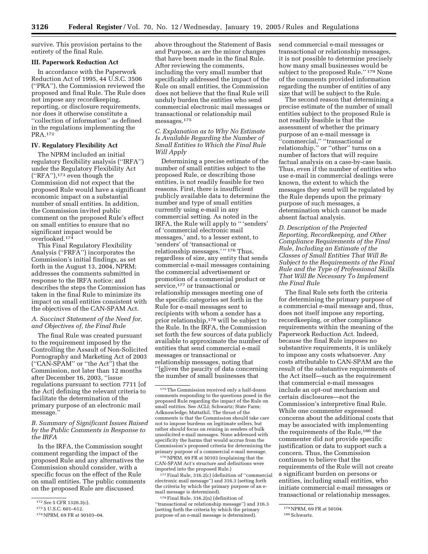survive. This provision pertains to the entirety of the final Rule.

#### **III. Paperwork Reduction Act**

In accordance with the Paperwork Reduction Act of 1995, 44 U.S.C. 3506 (''PRA''), the Commission reviewed the proposed and final Rule. The Rule does not impose any recordkeeping, reporting, or disclosure requirements, nor does it otherwise constitute a ''collection of information'' as defined in the regulations implementing the PRA.172

#### **IV. Regulatory Flexibility Act**

The NPRM included an initial regulatory flexibility analysis (''IRFA'') under the Regulatory Flexibility Act (''RFA''),173 even though the Commission did not expect that the proposed Rule would have a significant economic impact on a substantial number of small entities. In addition, the Commission invited public comment on the proposed Rule's effect on small entities to ensure that no significant impact would be overlooked.174

This Final Regulatory Flexibility Analysis (''FRFA'') incorporates the Commission's initial findings, as set forth in the August 13, 2004, NPRM; addresses the comments submitted in response to the IRFA notice; and describes the steps the Commission has taken in the final Rule to minimize its impact on small entities consistent with the objectives of the CAN-SPAM Act.

#### *A. Succinct Statement of the Need for, and Objectives of, the Final Rule*

The final Rule was created pursuant to the requirement imposed by the Controlling the Assault of Non-Solicited Pornography and Marketing Act of 2003 (''CAN-SPAM'' or ''the Act'') that the Commission, not later than 12 months after December 16, 2003, ''issue regulations pursuant to section 7711 [of the Act] defining the relevant criteria to facilitate the determination of the primary purpose of an electronic mail message.''

*B. Summary of Significant Issues Raised by the Public Comments in Response to the IRFA* 

In the IRFA, the Commission sought comment regarding the impact of the proposed Rule and any alternatives the Commission should consider, with a specific focus on the effect of the Rule on small entities. The public comments on the proposed Rule are discussed

above throughout the Statement of Basis and Purpose, as are the minor changes that have been made in the final Rule. After reviewing the comments, including the very small number that specifically addressed the impact of the Rule on small entities, the Commission does not believe that the final Rule will unduly burden the entities who send commercial electronic mail messages or transactional or relationship mail messages.175

*C. Explanation as to Why No Estimate Is Available Regarding the Number of Small Entities to Which the Final Rule Will Apply* 

Determining a precise estimate of the number of small entities subject to the proposed Rule, or describing those entities, is not readily feasible for two reasons. First, there is insufficient publicly available data to determine the number and type of small entities currently using e-mail in any commercial setting. As noted in the IRFA, the Rule will apply to '' 'senders' of 'commercial electronic mail messages,' and, to a lesser extent, to 'senders' of 'transactional or relationship messages.'"<sup>176</sup> Thus, regardless of size, any entity that sends commercial e-mail messages containing the commercial advertisement or promotion of a commercial product or service,<sup>177</sup> or transactional or relationship messages meeting one of the specific categories set forth in the Rule for e-mail messages sent to recipients with whom a sender has a prior relationship,178 will be subject to the Rule. In the IRFA, the Commission set forth the few sources of data publicly available to approximate the number of entities that send commercial e-mail messages or transactional or relationship messages, noting that ''[g]iven the paucity of data concerning the number of small businesses that

176 NPRM, 69 FR at 50103 (explaining that the CAN-SPAM Act's structure and definitions were imported into the proposed Rule.)

177Final Rule, 316.2(c) (definition of ''commercial electronic mail message'') and 316.3 (setting forth the criteria by which the primary purpose of an email message is determined).

178Final Rule, 316.2(n) (definition of ''transactional or relationship message'') and 316.3 (setting forth the criteria by which the primary purpose of an e-mail message is determined).

send commercial e-mail messages or transactional or relationship messages, it is not possible to determine precisely how many small businesses would be subject to the proposed Rule.'' 179 None of the comments provided information regarding the number of entities of any size that will be subject to the Rule.

The second reason that determining a precise estimate of the number of small entities subject to the proposed Rule is not readily feasible is that the assessment of whether the primary purpose of an e-mail message is ''commercial,'' ''transactional or relationship,'' or ''other'' turns on a number of factors that will require factual analysis on a case-by-case basis. Thus, even if the number of entities who use e-mail in commercial dealings were known, the extent to which the messages they send will be regulated by the Rule depends upon the primary purpose of such messages, a determination which cannot be made absent factual analysis.

*D. Description of the Projected Reporting, Recordkeeping, and Other Compliance Requirements of the Final Rule, Including an Estimate of the Classes of Small Entities That Will Be Subject to the Requirements of the Final Rule and the Type of Professional Skills That Will Be Necessary To Implement the Final Rule* 

The final Rule sets forth the criteria for determining the primary purpose of a commercial e-mail message and, thus, does not itself impose any reporting, recordkeeping, or other compliance requirements within the meaning of the Paperwork Reduction Act. Indeed, because the final Rule imposes no substantive requirements, it is unlikely to impose any costs whatsoever. Any costs attributable to CAN-SPAM are the result of the substantive requirements of the Act itself—such as the requirement that commercial e-mail messages include an opt-out mechanism and certain disclosures—not the Commission's interpretive final Rule. While one commenter expressed concerns about the additional costs that may be associated with implementing the requirements of the Rule,<sup>180</sup> the commenter did not provide specific justification or data to support such a concern. Thus, the Commission continues to believe that the requirements of the Rule will not create a significant burden on persons or entities, including small entities, who initiate commercial e-mail messages or transactional or relationship messages.

<sup>172</sup>*See* 5 CFR 1320.3(c).

<sup>173</sup> 5 U.S.C. 601–612.

<sup>174</sup>NPRM, 69 FR at 50103–04.

<sup>175</sup>The Commission received only a half-dozen comments responding to the questions posed in the proposed Rule regarding the impact of the Rule on small entities. See ACLI; Schwartz; State Farm; Adknowledge; Mattathil. The thrust of the comments is that the Commission should take care not to impose burdens on legitimate sellers, but rather should focus on reining in senders of bulk unsolicited e-mail messages. None addressed with specificity the harms that would accrue from the Commission's proposed criteria for determining the primary purpose of a commercial e-mail message.

<sup>179</sup> NPRM, 69 FR at 50104.

<sup>180</sup>Schwartz.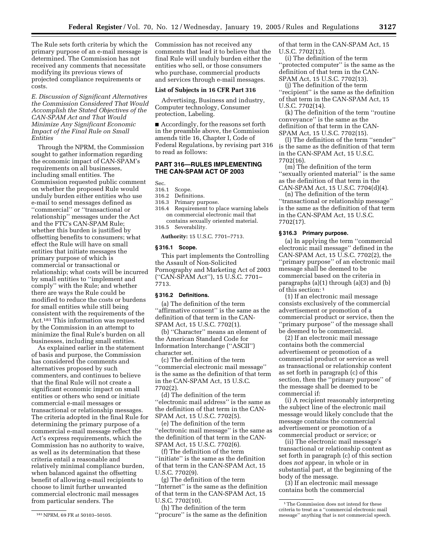The Rule sets forth criteria by which the primary purpose of an e-mail message is determined. The Commission has not received any comments that necessitate modifying its previous views of projected compliance requirements or costs.

*E. Discussion of Significant Alternatives the Commission Considered That Would Accomplish the Stated Objectives of the CAN-SPAM Act and That Would Minimize Any Significant Economic Impact of the Final Rule on Small Entities* 

Through the NPRM, the Commission sought to gather information regarding the economic impact of CAN-SPAM's requirements on all businesses, including small entities. The Commission requested public comment on whether the proposed Rule would unduly burden either entities who use e-mail to send messages defined as ''commercial'' or ''transactional or relationship'' messages under the Act and the FTC's CAN-SPAM Rule; whether this burden is justified by offsetting benefits to consumers; what effect the Rule will have on small entities that initiate messages the primary purpose of which is commercial or transactional or relationship; what costs will be incurred by small entities to ''implement and comply'' with the Rule; and whether there are ways the Rule could be modified to reduce the costs or burdens for small entities while still being consistent with the requirements of the Act.181 This information was requested by the Commission in an attempt to minimize the final Rule's burden on all businesses, including small entities.

As explained earlier in the statement of basis and purpose, the Commission has considered the comments and alternatives proposed by such commenters, and continues to believe that the final Rule will not create a significant economic impact on small entities or others who send or initiate commercial e-mail messages or transactional or relationship messages. The criteria adopted in the final Rule for determining the primary purpose of a commercial e-mail message reflect the Act's express requirements, which the Commission has no authority to waive, as well as its determination that these criteria entail a reasonable and relatively minimal compliance burden, when balanced against the offsetting benefit of allowing e-mail recipients to choose to limit further unwanted commercial electronic mail messages from particular senders. The

Commission has not received any comments that lead it to believe that the final Rule will unduly burden either the entities who sell, or those consumers who purchase, commercial products and services through e-mail messages.

#### **List of Subjects in 16 CFR Part 316**

Advertising, Business and industry, Computer technology, Consumer protection, Labeling.

■ Accordingly, for the reasons set forth in the preamble above, the Commission amends title 16, Chapter I, Code of Federal Regulations, by revising part 316 to read as follows:

#### **PART 316—RULES IMPLEMENTING THE CAN-SPAM ACT OF 2003**

#### Sec.

- 316.1 Scope.
- Definitions.
- 316.3 Primary purpose.
- 316.4 Requirement to place warning labels on commercial electronic mail that contains sexually oriented material.
- 316.5 Severability.

**Authority:** 15 U.S.C. 7701–7713.

#### **§ 316.1 Scope.**

This part implements the Controlling the Assault of Non-Solicited Pornography and Marketing Act of 2003 (''CAN-SPAM Act''), 15 U.S.C. 7701– 7713.

#### **§ 316.2 Definitions.**

(a) The definition of the term "affirmative consent" is the same as the definition of that term in the CAN-SPAM Act, 15 U.S.C. 7702(1).

(b) ''Character'' means an element of the American Standard Code for Information Interchange (''ASCII'') character set.

(c) The definition of the term ''commercial electronic mail message'' is the same as the definition of that term in the CAN-SPAM Act, 15 U.S.C. 7702(2).

(d) The definition of the term ''electronic mail address'' is the same as the definition of that term in the CAN-SPAM Act, 15 U.S.C. 7702(5).

(e) The definition of the term ''electronic mail message'' is the same as the definition of that term in the CAN-SPAM Act, 15 U.S.C. 7702(6).

(f) The definition of the term ''initiate'' is the same as the definition of that term in the CAN-SPAM Act, 15 U.S.C. 7702(9).

(g) The definition of the term ''Internet'' is the same as the definition of that term in the CAN-SPAM Act, 15 U.S.C. 7702(10).

(h) The definition of the term ''procure'' is the same as the definition of that term in the CAN-SPAM Act, 15 U.S.C. 7702(12).

(i) The definition of the term ''protected computer'' is the same as the definition of that term in the CAN-SPAM Act, 15 U.S.C. 7702(13).

(j) The definition of the term ''recipient'' is the same as the definition of that term in the CAN-SPAM Act, 15 U.S.C. 7702(14).

(k) The definition of the term ''routine conveyance'' is the same as the definition of that term in the CAN-SPAM Act, 15 U.S.C. 7702(15).

(l) The definition of the term ''sender'' is the same as the definition of that term in the CAN-SPAM Act, 15 U.S.C. 7702(16).

(m) The definition of the term ''sexually oriented material'' is the same as the definition of that term in the CAN-SPAM Act, 15 U.S.C. 7704(d)(4).

(n) The definition of the term ''transactional or relationship message'' is the same as the definition of that term in the CAN-SPAM Act, 15 U.S.C. 7702(17).

#### **§ 316.3 Primary purpose.**

(a) In applying the term ''commercial electronic mail message'' defined in the CAN-SPAM Act, 15 U.S.C. 7702(2), the ''primary purpose'' of an electronic mail message shall be deemed to be commercial based on the criteria in paragraphs (a)(1) through (a)(3) and (b) of this section: 1

(1) If an electronic mail message consists exclusively of the commercial advertisement or promotion of a commercial product or service, then the ''primary purpose'' of the message shall be deemed to be commercial.

(2) If an electronic mail message contains both the commercial advertisement or promotion of a commercial product or service as well as transactional or relationship content as set forth in paragraph (c) of this section, then the ''primary purpose'' of the message shall be deemed to be commercial if:

(i) A recipient reasonably interpreting the subject line of the electronic mail message would likely conclude that the message contains the commercial advertisement or promotion of a commercial product or service; or

(ii) The electronic mail message's transactional or relationship content as set forth in paragraph (c) of this section does *not* appear, in whole or in substantial part, at the beginning of the body of the message.

(3) If an electronic mail message contains both the commercial

<sup>181</sup>NPRM, 69 FR at 50103–50105.

<sup>1</sup>The Commission does not intend for these criteria to treat as a ''commercial electronic mail message'' anything that is not commercial speech.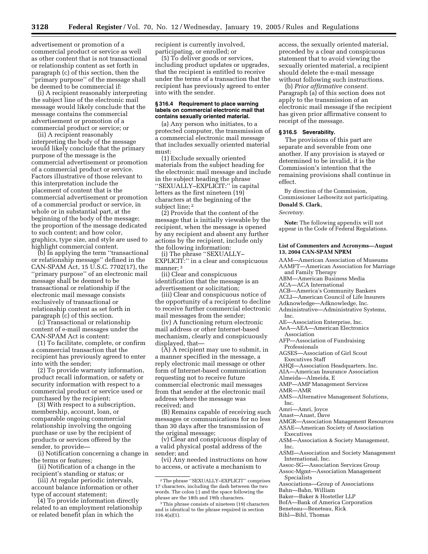advertisement or promotion of a commercial product or service as well as other content that is not transactional or relationship content as set forth in paragraph (c) of this section, then the 'primary purpose'' of the message shall be deemed to be commercial if:

(i) A recipient reasonably interpreting the subject line of the electronic mail message would likely conclude that the message contains the commercial advertisement or promotion of a commercial product or service; or

(ii) A recipient reasonably interpreting the body of the message would likely conclude that the primary purpose of the message is the commercial advertisement or promotion of a commercial product or service. Factors illustrative of those relevant to this interpretation include the placement of content that is the commercial advertisement or promotion of a commercial product or service, in whole or in substantial part, at the beginning of the body of the message; the proportion of the message dedicated to such content; and how color, graphics, type size, and style are used to highlight commercial content.

(b) In applying the term ''transactional or relationship message'' defined in the CAN-SPAM Act, 15 U.S.C. 7702(17), the ''primary purpose'' of an electronic mail message shall be deemed to be transactional or relationship if the electronic mail message consists exclusively of transactional or relationship content as set forth in paragraph  $(c)$  of this section.

(c) Transactional or relationship content of e-mail messages under the CAN-SPAM Act is content:

(1) To facilitate, complete, or confirm a commercial transaction that the recipient has previously agreed to enter into with the sender;

(2) To provide warranty information, product recall information, or safety or security information with respect to a commercial product or service used or purchased by the recipient;

(3) With respect to a subscription, membership, account, loan, or comparable ongoing commercial relationship involving the ongoing purchase or use by the recipient of products or services offered by the sender, to provide—

(i) Notification concerning a change in the terms or features;

(ii) Notification of a change in the recipient's standing or status; or

(iii) At regular periodic intervals, account balance information or other type of account statement;

(4) To provide information directly related to an employment relationship or related benefit plan in which the

recipient is currently involved, participating, or enrolled; or

(5) To deliver goods or services, including product updates or upgrades, that the recipient is entitled to receive under the terms of a transaction that the recipient has previously agreed to enter into with the sender.

#### **§ 316.4 Requirement to place warning labels on commercial electronic mail that contains sexually oriented material.**

(a) Any person who initiates, to a protected computer, the transmission of a commercial electronic mail message that includes sexually oriented material must:

(1) Exclude sexually oriented materials from the subject heading for the electronic mail message and include in the subject heading the phrase ''SEXUALLY–EXPLICIT:'' in capital letters as the first nineteen (19) characters at the beginning of the subject line; 2

(2) Provide that the content of the message that is initially viewable by the recipient, when the message is opened by any recipient and absent any further actions by the recipient, include only the following information:

(i) The phrase ''SEXUALLY– EXPLICIT:'' in a clear and conspicuous manner: <sup>3</sup>

(ii) Clear and conspicuous identification that the message is an advertisement or solicitation;

(iii) Clear and conspicuous notice of the opportunity of a recipient to decline to receive further commercial electronic mail messages from the sender;

(iv) A functioning return electronic mail address or other Internet-based mechanism, clearly and conspicuously displayed, that—

(A) A recipient may use to submit, in a manner specified in the message, a reply electronic mail message or other form of Internet-based communication requesting not to receive future commercial electronic mail messages from that sender at the electronic mail address where the message was received; and

(B) Remains capable of receiving such messages or communications for no less than 30 days after the transmission of the original message;

(v) Clear and conspicuous display of a valid physical postal address of the sender; and

(vi) Any needed instructions on how to access, or activate a mechanism to

access, the sexually oriented material, preceded by a clear and conspicuous statement that to avoid viewing the sexually oriented material, a recipient should delete the e-mail message without following such instructions.

(b) *Prior affirmative consent.* Paragraph (a) of this section does not apply to the transmission of an electronic mail message if the recipient has given prior affirmative consent to receipt of the message.

#### **§ 316.5 Severability.**

The provisions of this part are separate and severable from one another. If any provision is stayed or determined to be invalid, it is the Commission's intention that the remaining provisions shall continue in effect.

By direction of the Commission, Commissioner Leibowitz not participating. **Donald S. Clark,** 

*Secretary.*

**Note:** The following appendix will not appear in the Code of Federal Regulations.

#### **List of Commenters and Acronyms—August 13, 2004 CAN-SPAM NPRM**

AAM—American Association of Museums AAMFT—American Association for Marriage

- and Family Therapy
- ABM—American Business Media ACA—ACA International
- 
- ACB—America's Community Bankers ACLI—American Council of Life Insurers
- Adknowledge—Adknowledge, Inc.
- Administrative—Administrative Systems,
- Inc.

AE—Association Enterprise, Inc.

AeA—AEA—American Electronics Association

AFP—Association of Fundraising Professionals

AGSES—Association of Girl Scout Executives Staff

AHQI—Association Headquarters, Inc.

- AIA—American Insurance Association
- Almeida—Almeida, E
- AMP—AMP Management Services
- AMR—AMR

AMS—Alternative Management Solutions, Inc.

- Amri—Amri, Joyce
- Anast—Anast, Dave
- AMGR—Association Management Resources
- ASAE—American Society of Association Executives
- ASM—Association & Society Management, Inc.
- ASMI—Association and Society Management International, Inc.
- Assoc-SG—Association Services Group Assoc-Mgmt—Association Management Specialists
- Associations—Group of Associations
- Bahn—Bahn, William
- Baker—Baker & Hostetler LLP
- BofA—Bank of America Corporation
- Beneteau—Beneteau, Rick

Bihl—Bihl, Thomas

<sup>2</sup>The phrase ''SEXUALLY–EXPLICIT'' comprises 17 characters, including the dash between the two words. The colon (:) and the space following the phrase are the 18th and 19th characters.

<sup>3</sup>This phrase consists of nineteen (19) characters and is identical to the phrase required in section 316.4(a)(1).